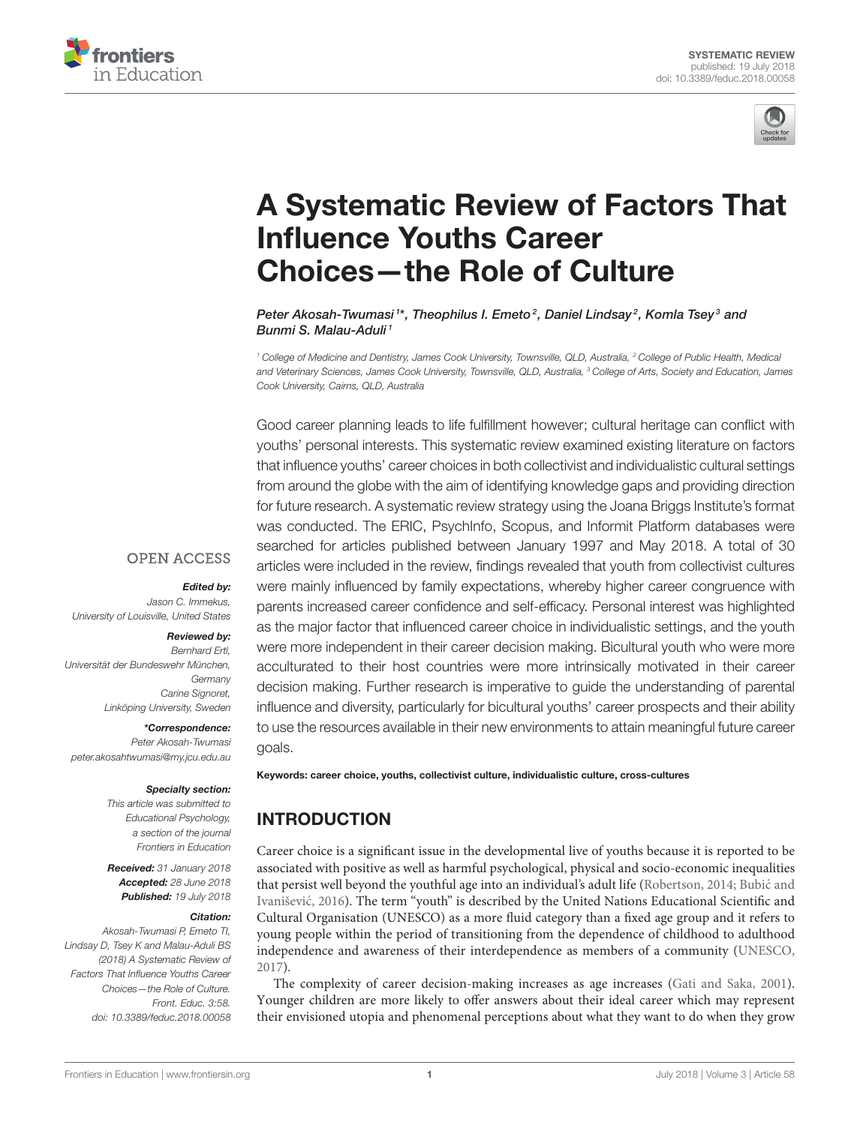



# [A Systematic Review of Factors That](https://www.frontiersin.org/articles/10.3389/feduc.2018.00058/full) Influence Youths Career Choices—the Role of Culture

[Peter Akosah-Twumasi](http://loop.frontiersin.org/people/505067/overview) 1\*, [Theophilus I. Emeto](http://loop.frontiersin.org/people/200621/overview) <sup>2</sup>, [Daniel Lindsay](http://loop.frontiersin.org/people/505432/overview) <sup>2</sup>, [Komla Tsey](http://loop.frontiersin.org/people/297861/overview) <sup>3</sup> and [Bunmi S. Malau-Aduli](http://loop.frontiersin.org/people/523437/overview)<sup>1</sup>

<sup>1</sup> College of Medicine and Dentistry, James Cook University, Townsville, QLD, Australia, <sup>2</sup> College of Public Health, Medical and Veterinary Sciences, James Cook University, Townsville, QLD, Australia, <sup>3</sup> College of Arts, Society and Education, James Cook University, Cairns, QLD, Australia

Good career planning leads to life fulfillment however; cultural heritage can conflict with youths' personal interests. This systematic review examined existing literature on factors that influence youths' career choices in both collectivist and individualistic cultural settings from around the globe with the aim of identifying knowledge gaps and providing direction for future research. A systematic review strategy using the Joana Briggs Institute's format was conducted. The ERIC, PsychInfo, Scopus, and Informit Platform databases were searched for articles published between January 1997 and May 2018. A total of 30 articles were included in the review, findings revealed that youth from collectivist cultures were mainly influenced by family expectations, whereby higher career congruence with parents increased career confidence and self-efficacy. Personal interest was highlighted as the major factor that influenced career choice in individualistic settings, and the youth were more independent in their career decision making. Bicultural youth who were more acculturated to their host countries were more intrinsically motivated in their career decision making. Further research is imperative to guide the understanding of parental influence and diversity, particularly for bicultural youths' career prospects and their ability to use the resources available in their new environments to attain meaningful future career goals.

# **OPEN ACCESS**

#### Edited by:

Jason C. Immekus, University of Louisville, United States

#### Reviewed by:

Bernhard Ertl, Universität der Bundeswehr München, Germany Carine Signoret, Linköping University, Sweden

\*Correspondence:

Peter Akosah-Twumasi [peter.akosahtwumasi@my.jcu.edu.au](mailto:peter.akosahtwumasi@my.jcu.edu.au)

#### Specialty section:

This article was submitted to Educational Psychology, a section of the journal Frontiers in Education

Received: 31 January 2018 Accepted: 28 June 2018 Published: 19 July 2018

#### Citation:

Akosah-Twumasi P, Emeto TI, Lindsay D, Tsey K and Malau-Aduli BS (2018) A Systematic Review of Factors That Influence Youths Career Choices—the Role of Culture. Front. Educ. 3:58. doi: [10.3389/feduc.2018.00058](https://doi.org/10.3389/feduc.2018.00058) Keywords: career choice, youths, collectivist culture, individualistic culture, cross-cultures

# INTRODUCTION

Career choice is a significant issue in the developmental live of youths because it is reported to be associated with positive as well as harmful psychological, physical and socio-economic inequalities that persist well beyond the youthful age into an individual's adult life [\(Robertson, 2014;](#page-14-0) Bubic and ´ Ivanišević, [2016](#page-13-0)). The term "youth" is described by the United Nations Educational Scientific and Cultural Organisation (UNESCO) as a more fluid category than a fixed age group and it refers to young people within the period of transitioning from the dependence of childhood to adulthood independence and awareness of their interdependence as members of a community [\(UNESCO,](#page-14-1) [2017\)](#page-14-1).

The complexity of career decision-making increases as age increases [\(Gati and Saka, 2001\)](#page-13-1). Younger children are more likely to offer answers about their ideal career which may represent their envisioned utopia and phenomenal perceptions about what they want to do when they grow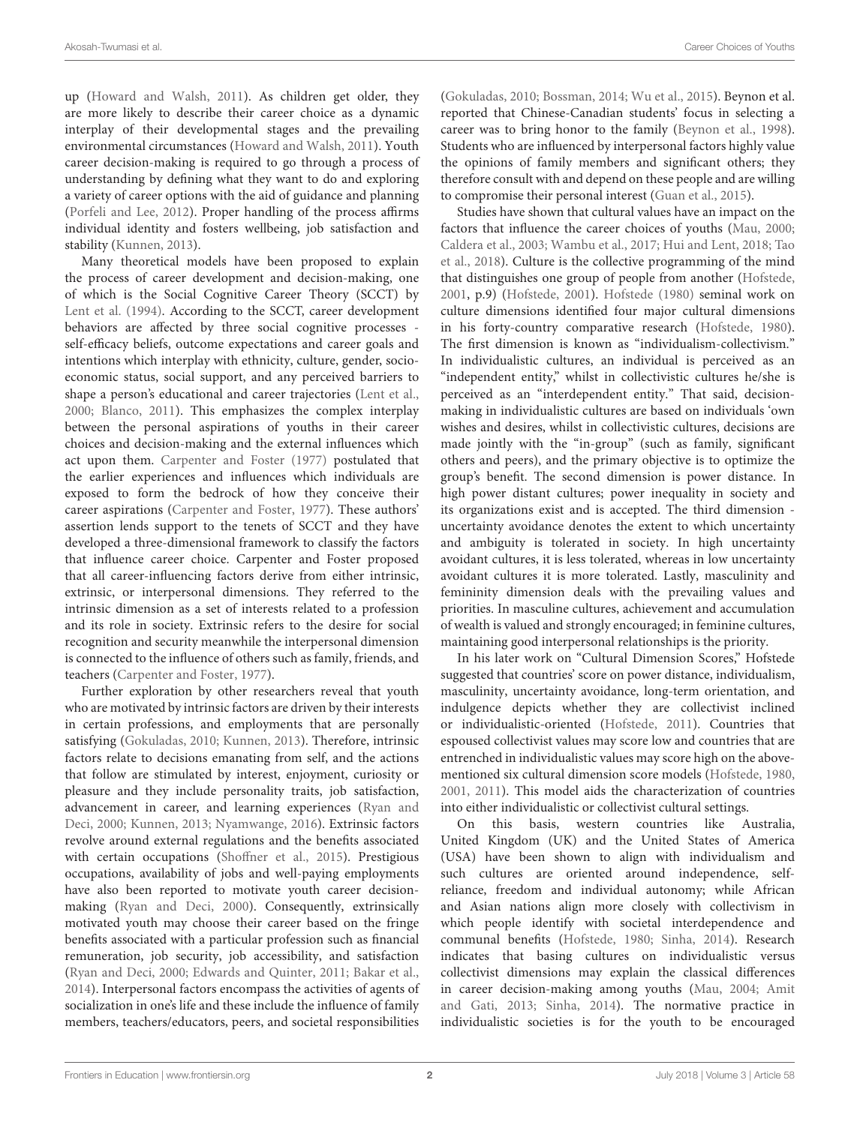up [\(Howard and Walsh, 2011\)](#page-14-2). As children get older, they are more likely to describe their career choice as a dynamic interplay of their developmental stages and the prevailing environmental circumstances [\(Howard and Walsh, 2011\)](#page-14-2). Youth career decision-making is required to go through a process of understanding by defining what they want to do and exploring a variety of career options with the aid of guidance and planning [\(Porfeli and Lee, 2012\)](#page-14-3). Proper handling of the process affirms individual identity and fosters wellbeing, job satisfaction and stability [\(Kunnen, 2013\)](#page-14-4).

Many theoretical models have been proposed to explain the process of career development and decision-making, one of which is the Social Cognitive Career Theory (SCCT) by [Lent et al. \(1994\)](#page-14-5). According to the SCCT, career development behaviors are affected by three social cognitive processes self-efficacy beliefs, outcome expectations and career goals and intentions which interplay with ethnicity, culture, gender, socioeconomic status, social support, and any perceived barriers to shape a person's educational and career trajectories [\(Lent et al.,](#page-14-6) [2000;](#page-14-6) [Blanco, 2011\)](#page-13-2). This emphasizes the complex interplay between the personal aspirations of youths in their career choices and decision-making and the external influences which act upon them. [Carpenter and Foster \(1977\)](#page-13-3) postulated that the earlier experiences and influences which individuals are exposed to form the bedrock of how they conceive their career aspirations [\(Carpenter and Foster, 1977\)](#page-13-3). These authors' assertion lends support to the tenets of SCCT and they have developed a three-dimensional framework to classify the factors that influence career choice. Carpenter and Foster proposed that all career-influencing factors derive from either intrinsic, extrinsic, or interpersonal dimensions. They referred to the intrinsic dimension as a set of interests related to a profession and its role in society. Extrinsic refers to the desire for social recognition and security meanwhile the interpersonal dimension is connected to the influence of others such as family, friends, and teachers [\(Carpenter and Foster, 1977\)](#page-13-3).

Further exploration by other researchers reveal that youth who are motivated by intrinsic factors are driven by their interests in certain professions, and employments that are personally satisfying [\(Gokuladas, 2010;](#page-13-4) [Kunnen, 2013\)](#page-14-4). Therefore, intrinsic factors relate to decisions emanating from self, and the actions that follow are stimulated by interest, enjoyment, curiosity or pleasure and they include personality traits, job satisfaction, advancement in career, and learning experiences (Ryan and Deci, [2000;](#page-14-7) [Kunnen, 2013;](#page-14-4) [Nyamwange, 2016\)](#page-14-8). Extrinsic factors revolve around external regulations and the benefits associated with certain occupations [\(Shoffner et al., 2015\)](#page-14-9). Prestigious occupations, availability of jobs and well-paying employments have also been reported to motivate youth career decisionmaking [\(Ryan and Deci, 2000\)](#page-14-7). Consequently, extrinsically motivated youth may choose their career based on the fringe benefits associated with a particular profession such as financial remuneration, job security, job accessibility, and satisfaction [\(Ryan and Deci, 2000;](#page-14-7) [Edwards and Quinter, 2011;](#page-13-5) [Bakar et al.,](#page-13-6) [2014\)](#page-13-6). Interpersonal factors encompass the activities of agents of socialization in one's life and these include the influence of family members, teachers/educators, peers, and societal responsibilities [\(Gokuladas, 2010;](#page-13-4) [Bossman, 2014;](#page-13-7) [Wu et al., 2015\)](#page-14-10). Beynon et al. reported that Chinese-Canadian students' focus in selecting a career was to bring honor to the family [\(Beynon et al., 1998\)](#page-13-8). Students who are influenced by interpersonal factors highly value the opinions of family members and significant others; they therefore consult with and depend on these people and are willing to compromise their personal interest [\(Guan et al., 2015\)](#page-13-9).

Studies have shown that cultural values have an impact on the factors that influence the career choices of youths [\(Mau, 2000;](#page-14-11) [Caldera et al., 2003;](#page-13-10) [Wambu et al., 2017;](#page-14-12) [Hui and Lent, 2018;](#page-14-13) Tao et al., [2018\)](#page-14-14). Culture is the collective programming of the mind that distinguishes one group of people from another [\(Hofstede,](#page-14-15) [2001,](#page-14-15) p.9) [\(Hofstede, 2001\)](#page-14-15). [Hofstede \(1980\)](#page-14-16) seminal work on culture dimensions identified four major cultural dimensions in his forty-country comparative research [\(Hofstede, 1980\)](#page-14-16). The first dimension is known as "individualism-collectivism." In individualistic cultures, an individual is perceived as an "independent entity," whilst in collectivistic cultures he/she is perceived as an "interdependent entity." That said, decisionmaking in individualistic cultures are based on individuals 'own wishes and desires, whilst in collectivistic cultures, decisions are made jointly with the "in-group" (such as family, significant others and peers), and the primary objective is to optimize the group's benefit. The second dimension is power distance. In high power distant cultures; power inequality in society and its organizations exist and is accepted. The third dimension uncertainty avoidance denotes the extent to which uncertainty and ambiguity is tolerated in society. In high uncertainty avoidant cultures, it is less tolerated, whereas in low uncertainty avoidant cultures it is more tolerated. Lastly, masculinity and femininity dimension deals with the prevailing values and priorities. In masculine cultures, achievement and accumulation of wealth is valued and strongly encouraged; in feminine cultures, maintaining good interpersonal relationships is the priority.

In his later work on "Cultural Dimension Scores," Hofstede suggested that countries' score on power distance, individualism, masculinity, uncertainty avoidance, long-term orientation, and indulgence depicts whether they are collectivist inclined or individualistic-oriented [\(Hofstede, 2011\)](#page-14-17). Countries that espoused collectivist values may score low and countries that are entrenched in individualistic values may score high on the abovementioned six cultural dimension score models [\(Hofstede, 1980,](#page-14-16) [2001,](#page-14-15) [2011\)](#page-14-17). This model aids the characterization of countries into either individualistic or collectivist cultural settings.

On this basis, western countries like Australia, United Kingdom (UK) and the United States of America (USA) have been shown to align with individualism and such cultures are oriented around independence, selfreliance, freedom and individual autonomy; while African and Asian nations align more closely with collectivism in which people identify with societal interdependence and communal benefits [\(Hofstede, 1980;](#page-14-16) [Sinha, 2014\)](#page-14-18). Research indicates that basing cultures on individualistic versus collectivist dimensions may explain the classical differences in career decision-making among youths [\(Mau, 2004;](#page-14-19) Amit and Gati, [2013;](#page-13-11) [Sinha, 2014\)](#page-14-18). The normative practice in individualistic societies is for the youth to be encouraged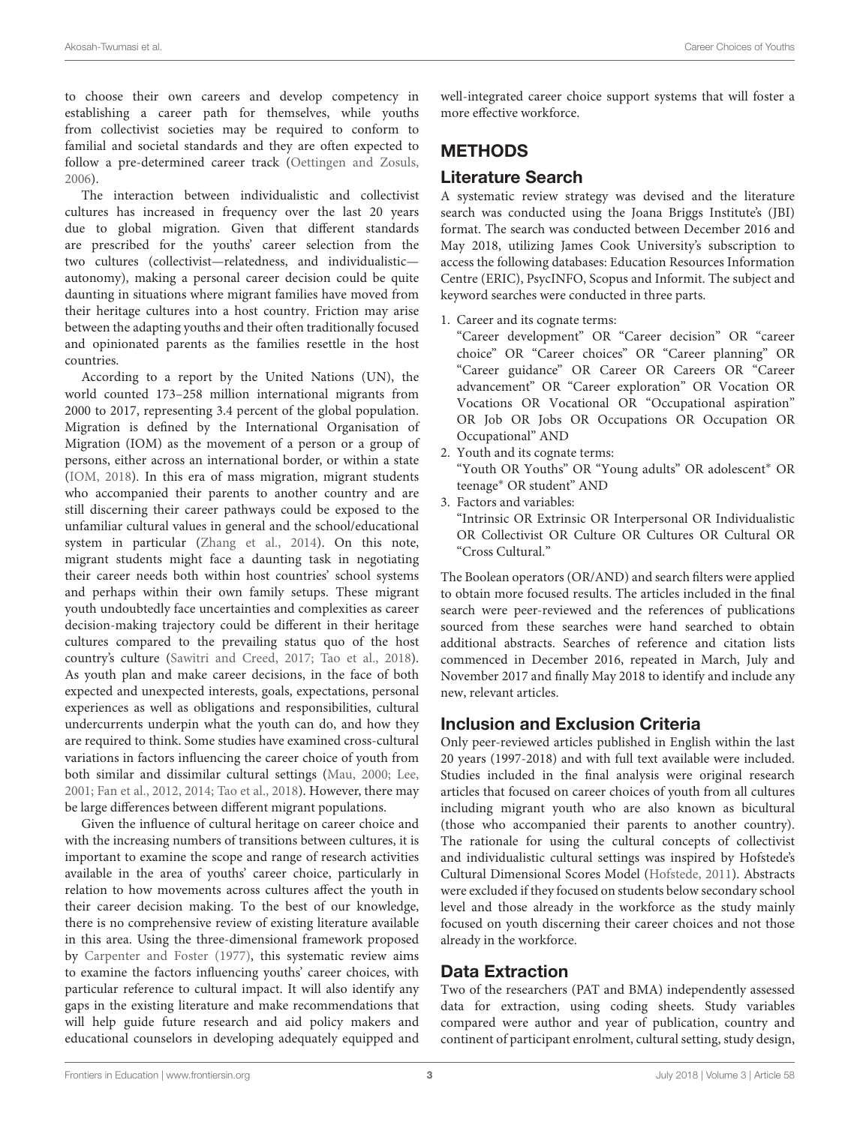to choose their own careers and develop competency in establishing a career path for themselves, while youths from collectivist societies may be required to conform to familial and societal standards and they are often expected to follow a pre-determined career track [\(Oettingen and Zosuls,](#page-14-20) [2006\)](#page-14-20).

The interaction between individualistic and collectivist cultures has increased in frequency over the last 20 years due to global migration. Given that different standards are prescribed for the youths' career selection from the two cultures (collectivist—relatedness, and individualistic autonomy), making a personal career decision could be quite daunting in situations where migrant families have moved from their heritage cultures into a host country. Friction may arise between the adapting youths and their often traditionally focused and opinionated parents as the families resettle in the host countries.

According to a report by the United Nations (UN), the world counted 173–258 million international migrants from 2000 to 2017, representing 3.4 percent of the global population. Migration is defined by the International Organisation of Migration (IOM) as the movement of a person or a group of persons, either across an international border, or within a state [\(IOM, 2018\)](#page-14-21). In this era of mass migration, migrant students who accompanied their parents to another country and are still discerning their career pathways could be exposed to the unfamiliar cultural values in general and the school/educational system in particular [\(Zhang et al., 2014\)](#page-14-22). On this note, migrant students might face a daunting task in negotiating their career needs both within host countries' school systems and perhaps within their own family setups. These migrant youth undoubtedly face uncertainties and complexities as career decision-making trajectory could be different in their heritage cultures compared to the prevailing status quo of the host country's culture [\(Sawitri and Creed, 2017;](#page-14-23) [Tao et al., 2018\)](#page-14-14). As youth plan and make career decisions, in the face of both expected and unexpected interests, goals, expectations, personal experiences as well as obligations and responsibilities, cultural undercurrents underpin what the youth can do, and how they are required to think. Some studies have examined cross-cultural variations in factors influencing the career choice of youth from both similar and dissimilar cultural settings [\(Mau, 2000;](#page-14-11) [Lee,](#page-14-24) [2001;](#page-14-24) [Fan et al., 2012,](#page-13-12) [2014;](#page-13-13) [Tao et al., 2018\)](#page-14-14). However, there may be large differences between different migrant populations.

Given the influence of cultural heritage on career choice and with the increasing numbers of transitions between cultures, it is important to examine the scope and range of research activities available in the area of youths' career choice, particularly in relation to how movements across cultures affect the youth in their career decision making. To the best of our knowledge, there is no comprehensive review of existing literature available in this area. Using the three-dimensional framework proposed by [Carpenter and Foster \(1977\)](#page-13-3), this systematic review aims to examine the factors influencing youths' career choices, with particular reference to cultural impact. It will also identify any gaps in the existing literature and make recommendations that will help guide future research and aid policy makers and educational counselors in developing adequately equipped and well-integrated career choice support systems that will foster a more effective workforce.

# METHODS

# Literature Search

A systematic review strategy was devised and the literature search was conducted using the Joana Briggs Institute's (JBI) format. The search was conducted between December 2016 and May 2018, utilizing James Cook University's subscription to access the following databases: Education Resources Information Centre (ERIC), PsycINFO, Scopus and Informit. The subject and keyword searches were conducted in three parts.

1. Career and its cognate terms:

"Career development" OR "Career decision" OR "career choice" OR "Career choices" OR "Career planning" OR "Career guidance" OR Career OR Careers OR "Career advancement" OR "Career exploration" OR Vocation OR Vocations OR Vocational OR "Occupational aspiration" OR Job OR Jobs OR Occupations OR Occupation OR Occupational" AND

- 2. Youth and its cognate terms: "Youth OR Youths" OR "Young adults" OR adolescent<sup>∗</sup> OR teenage<sup>∗</sup> OR student" AND
- 3. Factors and variables:

"Intrinsic OR Extrinsic OR Interpersonal OR Individualistic OR Collectivist OR Culture OR Cultures OR Cultural OR "Cross Cultural."

The Boolean operators (OR/AND) and search filters were applied to obtain more focused results. The articles included in the final search were peer-reviewed and the references of publications sourced from these searches were hand searched to obtain additional abstracts. Searches of reference and citation lists commenced in December 2016, repeated in March, July and November 2017 and finally May 2018 to identify and include any new, relevant articles.

# Inclusion and Exclusion Criteria

Only peer-reviewed articles published in English within the last 20 years (1997-2018) and with full text available were included. Studies included in the final analysis were original research articles that focused on career choices of youth from all cultures including migrant youth who are also known as bicultural (those who accompanied their parents to another country). The rationale for using the cultural concepts of collectivist and individualistic cultural settings was inspired by Hofstede's Cultural Dimensional Scores Model [\(Hofstede, 2011\)](#page-14-17). Abstracts were excluded if they focused on students below secondary school level and those already in the workforce as the study mainly focused on youth discerning their career choices and not those already in the workforce.

# Data Extraction

Two of the researchers (PAT and BMA) independently assessed data for extraction, using coding sheets. Study variables compared were author and year of publication, country and continent of participant enrolment, cultural setting, study design,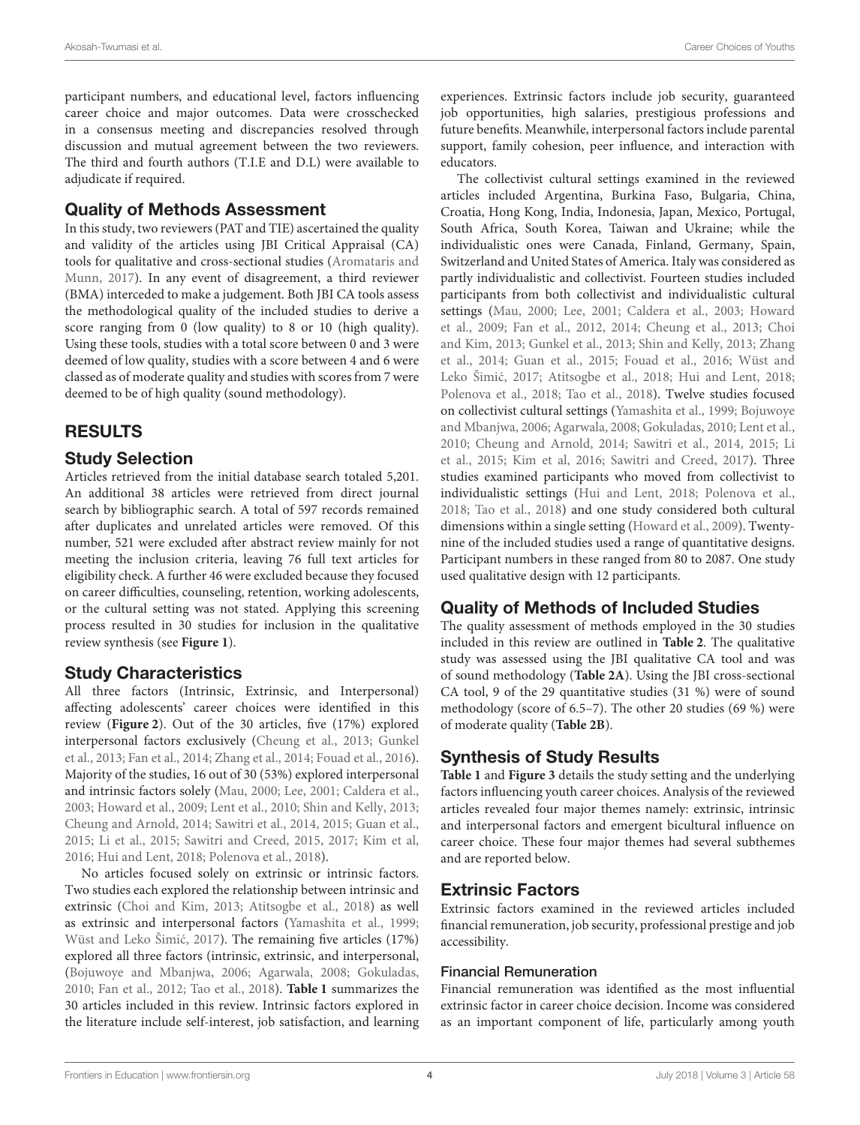participant numbers, and educational level, factors influencing career choice and major outcomes. Data were crosschecked in a consensus meeting and discrepancies resolved through discussion and mutual agreement between the two reviewers. The third and fourth authors (T.I.E and D.L) were available to adjudicate if required.

# Quality of Methods Assessment

In this study, two reviewers (PAT and TIE) ascertained the quality and validity of the articles using JBI Critical Appraisal (CA) tools for qualitative and cross-sectional studies (Aromataris and Munn, [2017\)](#page-13-14). In any event of disagreement, a third reviewer (BMA) interceded to make a judgement. Both JBI CA tools assess the methodological quality of the included studies to derive a score ranging from 0 (low quality) to 8 or 10 (high quality). Using these tools, studies with a total score between 0 and 3 were deemed of low quality, studies with a score between 4 and 6 were classed as of moderate quality and studies with scores from 7 were deemed to be of high quality (sound methodology).

# RESULTS

# Study Selection

Articles retrieved from the initial database search totaled 5,201. An additional 38 articles were retrieved from direct journal search by bibliographic search. A total of 597 records remained after duplicates and unrelated articles were removed. Of this number, 521 were excluded after abstract review mainly for not meeting the inclusion criteria, leaving 76 full text articles for eligibility check. A further 46 were excluded because they focused on career difficulties, counseling, retention, working adolescents, or the cultural setting was not stated. Applying this screening process resulted in 30 studies for inclusion in the qualitative review synthesis (see **[Figure 1](#page-4-0)**).

# Study Characteristics

All three factors (Intrinsic, Extrinsic, and Interpersonal) affecting adolescents' career choices were identified in this review (**[Figure 2](#page-4-1)**). Out of the 30 articles, five (17%) explored interpersonal factors exclusively [\(Cheung et al., 2013;](#page-13-15) Gunkel et al., [2013;](#page-14-25) [Fan et al., 2014;](#page-13-13) [Zhang et al., 2014;](#page-14-22) [Fouad et al., 2016\)](#page-13-16). Majority of the studies, 16 out of 30 (53%) explored interpersonal and intrinsic factors solely [\(Mau, 2000;](#page-14-11) [Lee, 2001;](#page-14-24) [Caldera et al.,](#page-13-10) [2003;](#page-13-10) [Howard et al., 2009;](#page-14-26) [Lent et al., 2010;](#page-14-27) [Shin and Kelly, 2013;](#page-14-28) [Cheung and Arnold, 2014;](#page-13-17) [Sawitri et al., 2014,](#page-14-29) [2015;](#page-14-30) [Guan et al.,](#page-13-9) [2015;](#page-13-9) [Li et al., 2015;](#page-14-31) [Sawitri and Creed, 2015,](#page-14-32) [2017;](#page-14-23) [Kim et al,](#page-14-33) [2016;](#page-14-33) [Hui and Lent, 2018;](#page-14-13) [Polenova et al., 2018\)](#page-14-34).

No articles focused solely on extrinsic or intrinsic factors. Two studies each explored the relationship between intrinsic and extrinsic [\(Choi and Kim, 2013;](#page-13-18) [Atitsogbe et al., 2018\)](#page-13-19) as well as extrinsic and interpersonal factors [\(Yamashita et al., 1999;](#page-14-35) Wüst and Leko Šimić, 2017). The remaining five articles (17%) explored all three factors (intrinsic, extrinsic, and interpersonal, [\(Bojuwoye and Mbanjwa, 2006;](#page-13-20) [Agarwala, 2008;](#page-13-21) [Gokuladas,](#page-13-4) [2010;](#page-13-4) [Fan et al., 2012;](#page-13-12) [Tao et al., 2018\)](#page-14-14). **[Table 1](#page-6-0)** summarizes the 30 articles included in this review. Intrinsic factors explored in the literature include self-interest, job satisfaction, and learning experiences. Extrinsic factors include job security, guaranteed job opportunities, high salaries, prestigious professions and future benefits. Meanwhile, interpersonal factors include parental support, family cohesion, peer influence, and interaction with educators.

The collectivist cultural settings examined in the reviewed articles included Argentina, Burkina Faso, Bulgaria, China, Croatia, Hong Kong, India, Indonesia, Japan, Mexico, Portugal, South Africa, South Korea, Taiwan and Ukraine; while the individualistic ones were Canada, Finland, Germany, Spain, Switzerland and United States of America. Italy was considered as partly individualistic and collectivist. Fourteen studies included participants from both collectivist and individualistic cultural settings [\(Mau, 2000;](#page-14-11) [Lee, 2001;](#page-14-24) [Caldera et al., 2003;](#page-13-10) Howard et al., [2009;](#page-14-26) [Fan et al., 2012,](#page-13-12) [2014;](#page-13-13) [Cheung et al., 2013;](#page-13-15) Choi and Kim, [2013;](#page-13-18) [Gunkel et al., 2013;](#page-14-25) [Shin and Kelly, 2013;](#page-14-28) Zhang et al., [2014;](#page-14-22) [Guan et al., 2015;](#page-13-9) [Fouad et al., 2016;](#page-13-16) Wüst and Leko Šimić, [2017;](#page-14-36) [Atitsogbe et al., 2018;](#page-13-19) [Hui and Lent, 2018;](#page-14-13) [Polenova et al., 2018;](#page-14-34) [Tao et al., 2018\)](#page-14-14). Twelve studies focused on collectivist cultural settings [\(Yamashita et al., 1999;](#page-14-35) Bojuwoye and Mbanjwa, [2006;](#page-13-20) [Agarwala, 2008;](#page-13-21) [Gokuladas, 2010;](#page-13-4) [Lent et al.,](#page-14-27) [2010;](#page-14-27) [Cheung and Arnold, 2014;](#page-13-17) [Sawitri et al., 2014,](#page-14-29) [2015;](#page-14-30) Li et al., [2015;](#page-14-31) [Kim et al, 2016;](#page-14-33) [Sawitri and Creed, 2017\)](#page-14-23). Three studies examined participants who moved from collectivist to individualistic settings [\(Hui and Lent, 2018;](#page-14-13) [Polenova et al.,](#page-14-34) [2018;](#page-14-34) [Tao et al., 2018\)](#page-14-14) and one study considered both cultural dimensions within a single setting [\(Howard et al., 2009\)](#page-14-26). Twentynine of the included studies used a range of quantitative designs. Participant numbers in these ranged from 80 to 2087. One study used qualitative design with 12 participants.

# Quality of Methods of Included Studies

The quality assessment of methods employed in the 30 studies included in this review are outlined in **[Table 2](#page-10-0)**. The qualitative study was assessed using the JBI qualitative CA tool and was of sound methodology (**[Table 2A](#page-10-0)**). Using the JBI cross-sectional CA tool, 9 of the 29 quantitative studies (31 %) were of sound methodology (score of 6.5–7). The other 20 studies (69 %) were of moderate quality (**[Table 2B](#page-10-0)**).

# Synthesis of Study Results

**[Table 1](#page-6-0)** and **[Figure 3](#page-11-0)** details the study setting and the underlying factors influencing youth career choices. Analysis of the reviewed articles revealed four major themes namely: extrinsic, intrinsic and interpersonal factors and emergent bicultural influence on career choice. These four major themes had several subthemes and are reported below.

# Extrinsic Factors

Extrinsic factors examined in the reviewed articles included financial remuneration, job security, professional prestige and job accessibility.

## Financial Remuneration

Financial remuneration was identified as the most influential extrinsic factor in career choice decision. Income was considered as an important component of life, particularly among youth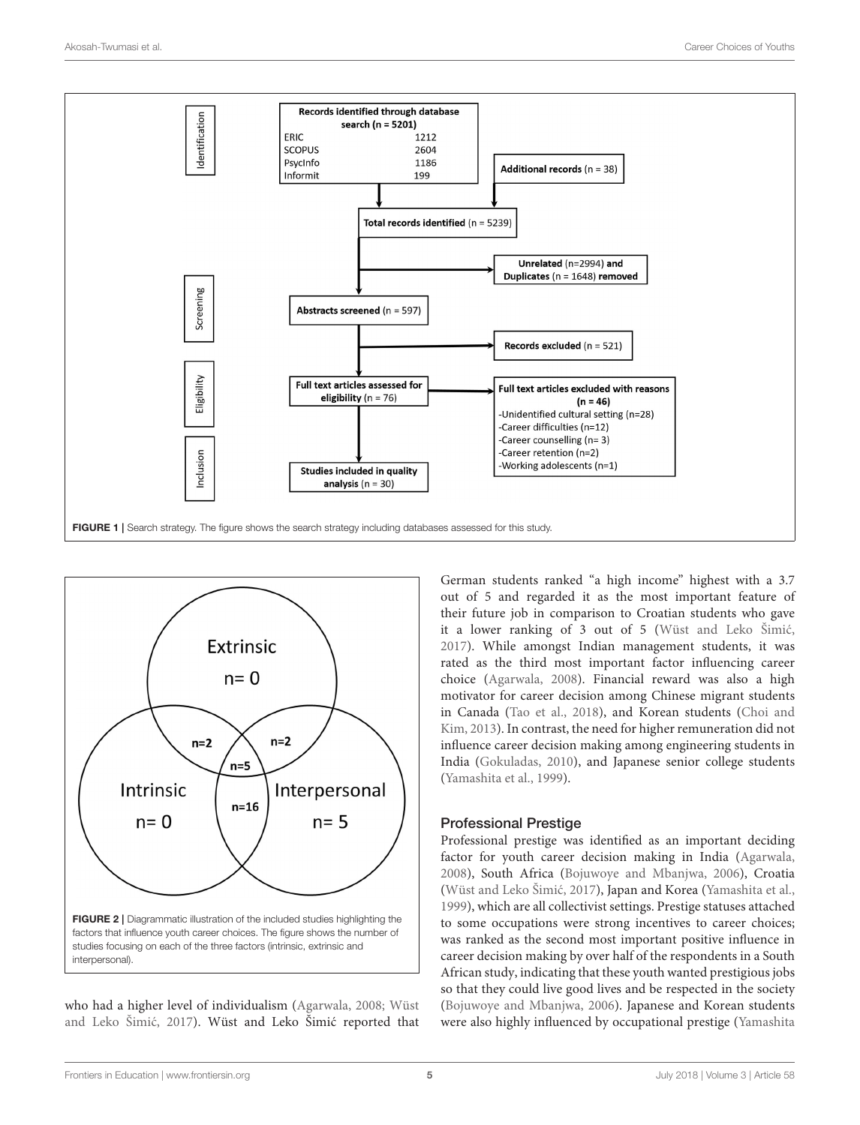

<span id="page-4-0"></span>

<span id="page-4-1"></span>who had a higher level of individualism [\(Agarwala, 2008;](#page-13-21) Wüst and Leko Šimić, [2017](#page-14-36)). Wüst and Leko Šimić reported that German students ranked "a high income" highest with a 3.7 out of 5 and regarded it as the most important feature of their future job in comparison to Croatian students who gave it a lower ranking of 3 out of 5 (Wüst and Leko Šimić, [2017\)](#page-14-36). While amongst Indian management students, it was rated as the third most important factor influencing career choice [\(Agarwala, 2008\)](#page-13-21). Financial reward was also a high motivator for career decision among Chinese migrant students in Canada [\(Tao et al., 2018\)](#page-14-14), and Korean students (Choi and Kim, [2013\)](#page-13-18). In contrast, the need for higher remuneration did not influence career decision making among engineering students in India [\(Gokuladas, 2010\)](#page-13-4), and Japanese senior college students [\(Yamashita et al., 1999\)](#page-14-35).

## Professional Prestige

Professional prestige was identified as an important deciding factor for youth career decision making in India [\(Agarwala,](#page-13-21) [2008\)](#page-13-21), South Africa [\(Bojuwoye and Mbanjwa, 2006\)](#page-13-20), Croatia (Wüst and Leko Šimić, 2017), Japan and Korea [\(Yamashita et al.,](#page-14-35) [1999\)](#page-14-35), which are all collectivist settings. Prestige statuses attached to some occupations were strong incentives to career choices; was ranked as the second most important positive influence in career decision making by over half of the respondents in a South African study, indicating that these youth wanted prestigious jobs so that they could live good lives and be respected in the society [\(Bojuwoye and Mbanjwa, 2006\)](#page-13-20). Japanese and Korean students were also highly influenced by occupational prestige (Yamashita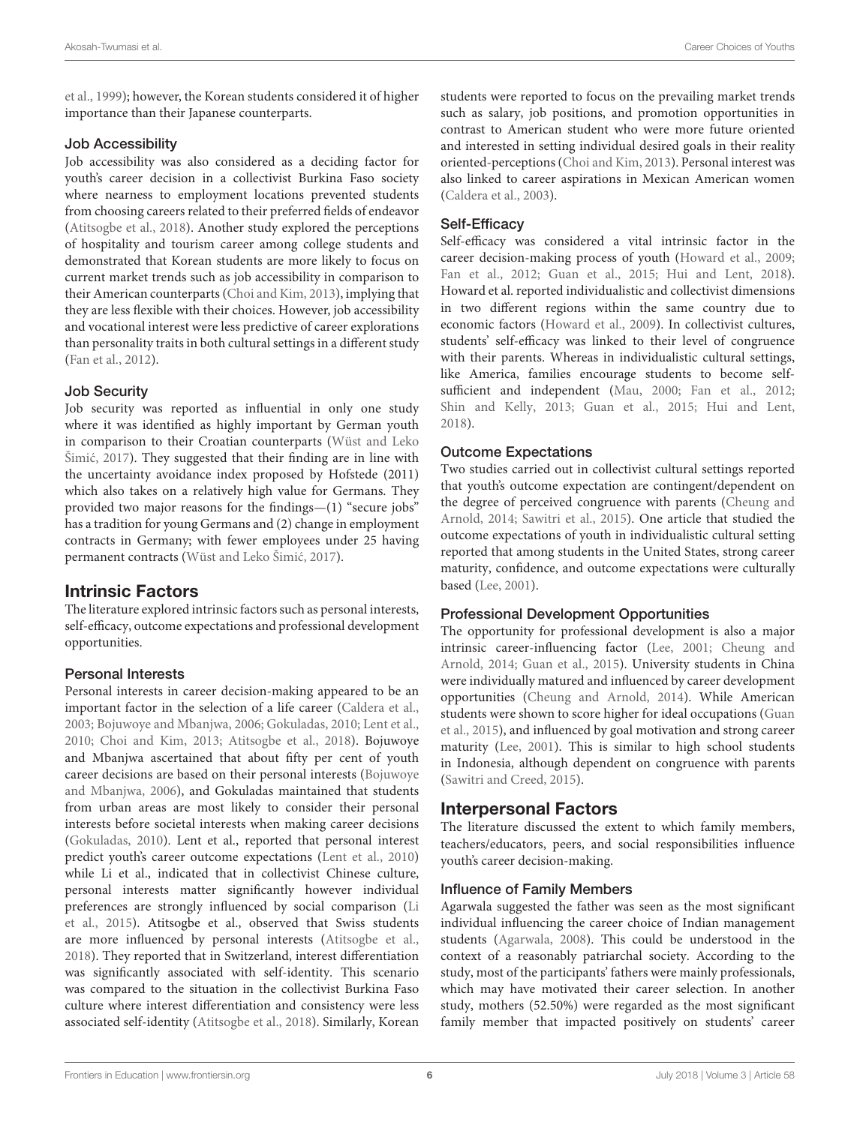et al., [1999\)](#page-14-35); however, the Korean students considered it of higher importance than their Japanese counterparts.

#### Job Accessibility

Job accessibility was also considered as a deciding factor for youth's career decision in a collectivist Burkina Faso society where nearness to employment locations prevented students from choosing careers related to their preferred fields of endeavor [\(Atitsogbe et al., 2018\)](#page-13-19). Another study explored the perceptions of hospitality and tourism career among college students and demonstrated that Korean students are more likely to focus on current market trends such as job accessibility in comparison to their American counterparts [\(Choi and Kim, 2013\)](#page-13-18), implying that they are less flexible with their choices. However, job accessibility and vocational interest were less predictive of career explorations than personality traits in both cultural settings in a different study [\(Fan et al., 2012\)](#page-13-12).

#### Job Security

Job security was reported as influential in only one study where it was identified as highly important by German youth in comparison to their Croatian counterparts (Wüst and Leko Šimić, [2017](#page-14-36)). They suggested that their finding are in line with the uncertainty avoidance index proposed by Hofstede (2011) which also takes on a relatively high value for Germans. They provided two major reasons for the findings—(1) "secure jobs" has a tradition for young Germans and (2) change in employment contracts in Germany; with fewer employees under 25 having permanent contracts (Wüst and Leko Šimić, 2017).

## Intrinsic Factors

The literature explored intrinsic factors such as personal interests, self-efficacy, outcome expectations and professional development opportunities.

#### Personal Interests

Personal interests in career decision-making appeared to be an important factor in the selection of a life career [\(Caldera et al.,](#page-13-10) [2003;](#page-13-10) [Bojuwoye and Mbanjwa, 2006;](#page-13-20) [Gokuladas, 2010;](#page-13-4) [Lent et al.,](#page-14-27) [2010;](#page-14-27) [Choi and Kim, 2013;](#page-13-18) [Atitsogbe et al., 2018\)](#page-13-19). Bojuwoye and Mbanjwa ascertained that about fifty per cent of youth career decisions are based on their personal interests (Bojuwoye and Mbanjwa, [2006\)](#page-13-20), and Gokuladas maintained that students from urban areas are most likely to consider their personal interests before societal interests when making career decisions [\(Gokuladas, 2010\)](#page-13-4). Lent et al., reported that personal interest predict youth's career outcome expectations [\(Lent et al., 2010\)](#page-14-27) while Li et al., indicated that in collectivist Chinese culture, personal interests matter significantly however individual preferences are strongly influenced by social comparison (Li et al., [2015\)](#page-14-31). Atitsogbe et al., observed that Swiss students are more influenced by personal interests [\(Atitsogbe et al.,](#page-13-19) [2018\)](#page-13-19). They reported that in Switzerland, interest differentiation was significantly associated with self-identity. This scenario was compared to the situation in the collectivist Burkina Faso culture where interest differentiation and consistency were less associated self-identity [\(Atitsogbe et al., 2018\)](#page-13-19). Similarly, Korean students were reported to focus on the prevailing market trends such as salary, job positions, and promotion opportunities in contrast to American student who were more future oriented and interested in setting individual desired goals in their reality oriented-perceptions [\(Choi and Kim, 2013\)](#page-13-18). Personal interest was also linked to career aspirations in Mexican American women [\(Caldera et al., 2003\)](#page-13-10).

#### Self-Efficacy

Self-efficacy was considered a vital intrinsic factor in the career decision-making process of youth [\(Howard et al., 2009;](#page-14-26) [Fan et al., 2012;](#page-13-12) [Guan et al., 2015;](#page-13-9) [Hui and Lent, 2018\)](#page-14-13). Howard et al. reported individualistic and collectivist dimensions in two different regions within the same country due to economic factors [\(Howard et al., 2009\)](#page-14-26). In collectivist cultures, students' self-efficacy was linked to their level of congruence with their parents. Whereas in individualistic cultural settings, like America, families encourage students to become selfsufficient and independent [\(Mau, 2000;](#page-14-11) [Fan et al., 2012;](#page-13-12) [Shin and Kelly, 2013;](#page-14-28) [Guan et al., 2015;](#page-13-9) [Hui and Lent,](#page-14-13) [2018\)](#page-14-13).

#### Outcome Expectations

Two studies carried out in collectivist cultural settings reported that youth's outcome expectation are contingent/dependent on the degree of perceived congruence with parents (Cheung and Arnold, [2014;](#page-13-17) [Sawitri et al., 2015\)](#page-14-30). One article that studied the outcome expectations of youth in individualistic cultural setting reported that among students in the United States, strong career maturity, confidence, and outcome expectations were culturally based [\(Lee, 2001\)](#page-14-24).

#### Professional Development Opportunities

The opportunity for professional development is also a major intrinsic career-influencing factor [\(Lee, 2001;](#page-14-24) Cheung and Arnold, [2014;](#page-13-17) [Guan et al., 2015\)](#page-13-9). University students in China were individually matured and influenced by career development opportunities [\(Cheung and Arnold, 2014\)](#page-13-17). While American students were shown to score higher for ideal occupations (Guan et al., [2015\)](#page-13-9), and influenced by goal motivation and strong career maturity [\(Lee, 2001\)](#page-14-24). This is similar to high school students in Indonesia, although dependent on congruence with parents [\(Sawitri and Creed, 2015\)](#page-14-32).

## Interpersonal Factors

The literature discussed the extent to which family members, teachers/educators, peers, and social responsibilities influence youth's career decision-making.

#### Influence of Family Members

Agarwala suggested the father was seen as the most significant individual influencing the career choice of Indian management students [\(Agarwala, 2008\)](#page-13-21). This could be understood in the context of a reasonably patriarchal society. According to the study, most of the participants' fathers were mainly professionals, which may have motivated their career selection. In another study, mothers (52.50%) were regarded as the most significant family member that impacted positively on students' career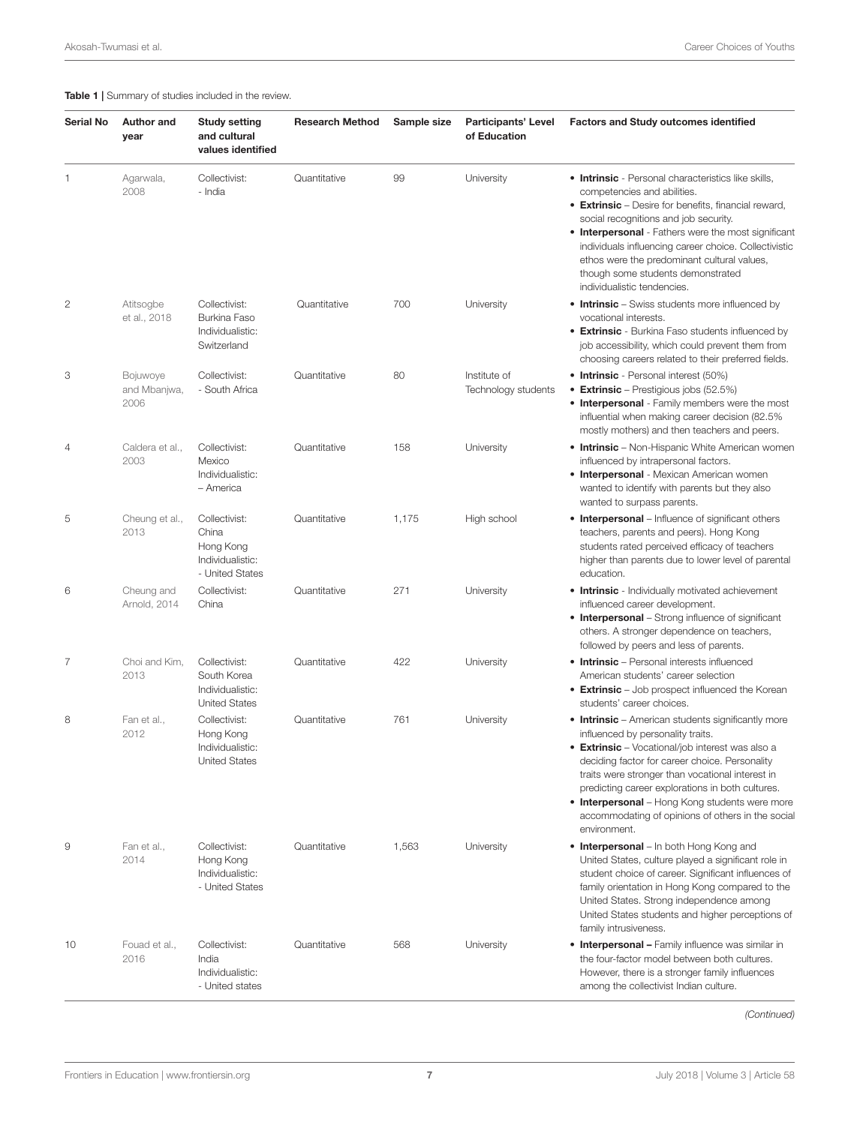#### <span id="page-6-0"></span>Table 1 | Summary of studies included in the review.

| <b>Serial No</b> | <b>Author and</b><br>year        | <b>Study setting</b><br>and cultural<br>values identified                  | <b>Research Method</b> | Sample size | <b>Participants' Level</b><br>of Education | <b>Factors and Study outcomes identified</b>                                                                                                                                                                                                                                                                                                                                                                                  |
|------------------|----------------------------------|----------------------------------------------------------------------------|------------------------|-------------|--------------------------------------------|-------------------------------------------------------------------------------------------------------------------------------------------------------------------------------------------------------------------------------------------------------------------------------------------------------------------------------------------------------------------------------------------------------------------------------|
| 1                | Agarwala,<br>2008                | Collectivist:<br>- India                                                   | Quantitative           | 99          | University                                 | <b>• Intrinsic</b> - Personal characteristics like skills,<br>competencies and abilities.<br>• Extrinsic - Desire for benefits, financial reward,<br>social recognitions and job security.<br>• Interpersonal - Fathers were the most significant<br>individuals influencing career choice. Collectivistic<br>ethos were the predominant cultural values,<br>though some students demonstrated<br>individualistic tendencies. |
| $\mathbf{2}$     | Atitsogbe<br>et al., 2018        | Collectivist:<br>Burkina Faso<br>Individualistic:<br>Switzerland           | Quantitative           | 700         | University                                 | • Intrinsic - Swiss students more influenced by<br>vocational interests.<br>• Extrinsic - Burkina Faso students influenced by<br>job accessibility, which could prevent them from<br>choosing careers related to their preferred fields.                                                                                                                                                                                      |
| 3                | Bojuwoye<br>and Mbanjwa,<br>2006 | Collectivist:<br>- South Africa                                            | Quantitative           | 80          | Institute of<br>Technology students        | • Intrinsic - Personal interest (50%)<br>• Extrinsic – Prestigious jobs (52.5%)<br>• Interpersonal - Family members were the most<br>influential when making career decision (82.5%<br>mostly mothers) and then teachers and peers.                                                                                                                                                                                           |
| 4                | Caldera et al.,<br>2003          | Collectivist:<br>Mexico<br>Individualistic:<br>– America                   | Quantitative           | 158         | University                                 | • Intrinsic - Non-Hispanic White American women<br>influenced by intrapersonal factors.<br><b>• Interpersonal</b> - Mexican American women<br>wanted to identify with parents but they also<br>wanted to surpass parents.                                                                                                                                                                                                     |
| 5                | Cheung et al.,<br>2013           | Collectivist:<br>China<br>Hong Kong<br>Individualistic:<br>- United States | Quantitative           | 1,175       | High school                                | • Interpersonal - Influence of significant others<br>teachers, parents and peers). Hong Kong<br>students rated perceived efficacy of teachers<br>higher than parents due to lower level of parental<br>education.                                                                                                                                                                                                             |
| 6                | Cheung and<br>Arnold, 2014       | Collectivist:<br>China                                                     | Quantitative           | 271         | University                                 | • Intrinsic - Individually motivated achievement<br>influenced career development.<br>• Interpersonal - Strong influence of significant<br>others. A stronger dependence on teachers,<br>followed by peers and less of parents.                                                                                                                                                                                               |
| $\overline{7}$   | Choi and Kim,<br>2013            | Collectivist:<br>South Korea<br>Individualistic:<br><b>United States</b>   | Quantitative           | 422         | University                                 | • Intrinsic - Personal interests influenced<br>American students' career selection<br>• Extrinsic - Job prospect influenced the Korean<br>students' career choices.                                                                                                                                                                                                                                                           |
| 8                | Fan et al<br>2012                | Collectivist:<br>Hong Kong<br>Individualistic:<br><b>United States</b>     | Quantitative           | 761         | University                                 | • Intrinsic – American students significantly more<br>influenced by personality traits.<br>• Extrinsic - Vocational/job interest was also a<br>deciding factor for career choice. Personality<br>traits were stronger than vocational interest in<br>predicting career explorations in both cultures.<br>• Interpersonal - Hong Kong students were more<br>accommodating of opinions of others in the social<br>environment.  |
| 9                | Fan et al.,<br>2014              | Collectivist:<br>Hong Kong<br>Individualistic:<br>- United States          | Quantitative           | 1,563       | University                                 | • Interpersonal – In both Hong Kong and<br>United States, culture played a significant role in<br>student choice of career. Significant influences of<br>family orientation in Hong Kong compared to the<br>United States. Strong independence among<br>United States students and higher perceptions of<br>family intrusiveness.                                                                                             |
| 10               | Fouad et al.,<br>2016            | Collectivist:<br>India<br>Individualistic:<br>- United states              | Quantitative           | 568         | University                                 | <b>• Interpersonal - Family influence was similar in</b><br>the four-factor model between both cultures.<br>However, there is a stronger family influences<br>among the collectivist Indian culture.                                                                                                                                                                                                                          |

(Continued)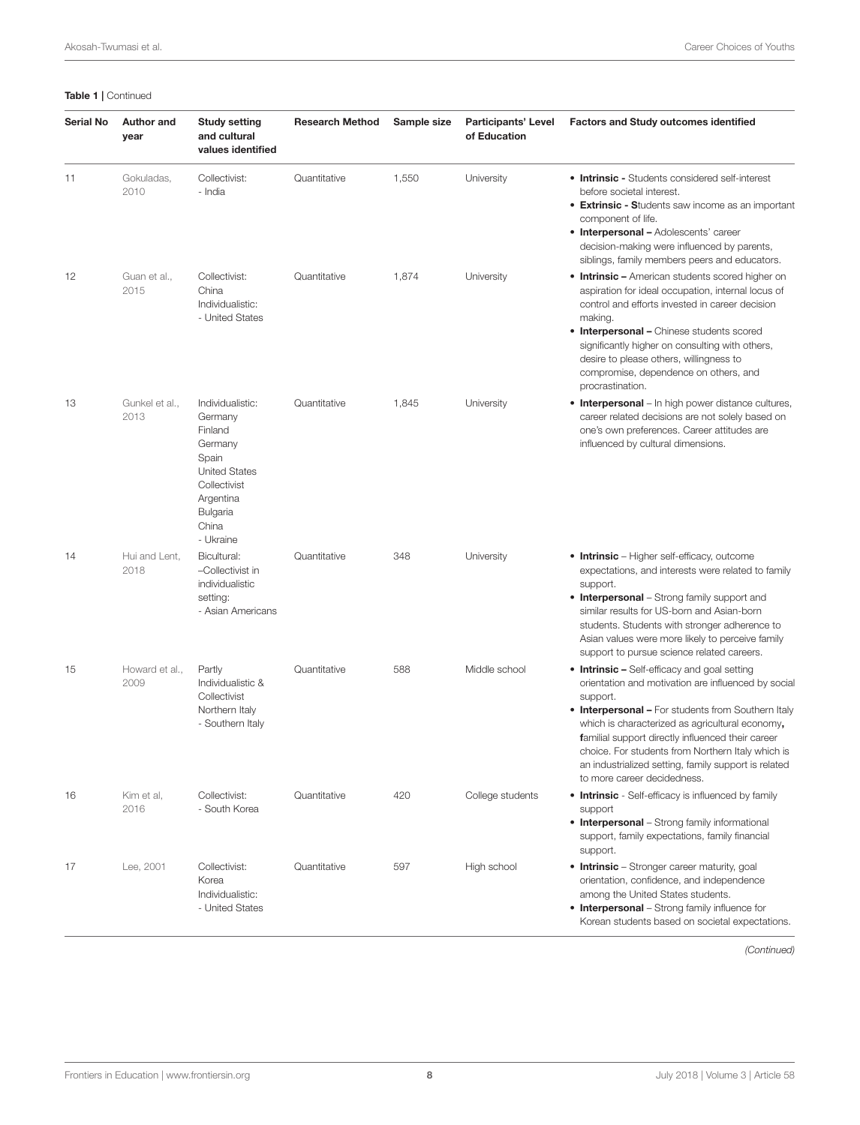|  | Table 1   Continued |
|--|---------------------|
|--|---------------------|

| <b>Serial No</b> | <b>Author and</b><br>year | <b>Study setting</b><br>and cultural<br>values identified                                                                                         | <b>Research Method</b> | Sample size | <b>Participants' Level</b><br>of Education | <b>Factors and Study outcomes identified</b>                                                                                                                                                                                                                                                                                                                                                                              |
|------------------|---------------------------|---------------------------------------------------------------------------------------------------------------------------------------------------|------------------------|-------------|--------------------------------------------|---------------------------------------------------------------------------------------------------------------------------------------------------------------------------------------------------------------------------------------------------------------------------------------------------------------------------------------------------------------------------------------------------------------------------|
| 11               | Gokuladas,<br>2010        | Collectivist:<br>- India                                                                                                                          | Quantitative           | 1,550       | University                                 | • Intrinsic - Students considered self-interest<br>before societal interest.<br>• Extrinsic - Students saw income as an important<br>component of life.<br>• Interpersonal - Adolescents' career<br>decision-making were influenced by parents,<br>siblings, family members peers and educators.                                                                                                                          |
| 12               | Guan et al.,<br>2015      | Collectivist:<br>China<br>Individualistic:<br>- United States                                                                                     | Quantitative           | 1,874       | University                                 | • Intrinsic - American students scored higher on<br>aspiration for ideal occupation, internal locus of<br>control and efforts invested in career decision<br>making.<br>• Interpersonal - Chinese students scored<br>significantly higher on consulting with others,<br>desire to please others, willingness to<br>compromise, dependence on others, and<br>procrastination.                                              |
| 13               | Gunkel et al.,<br>2013    | Individualistic:<br>Germany<br>Finland<br>Germany<br>Spain<br><b>United States</b><br>Collectivist<br>Argentina<br>Bulgaria<br>China<br>- Ukraine | Quantitative           | 1,845       | University                                 | • Interpersonal - In high power distance cultures,<br>career related decisions are not solely based on<br>one's own preferences. Career attitudes are<br>influenced by cultural dimensions.                                                                                                                                                                                                                               |
| 14               | Hui and Lent,<br>2018     | Bicultural:<br>-Collectivist in<br>individualistic<br>setting:<br>- Asian Americans                                                               | Quantitative           | 348         | University                                 | • Intrinsic - Higher self-efficacy, outcome<br>expectations, and interests were related to family<br>support.<br>• Interpersonal – Strong family support and<br>similar results for US-born and Asian-born<br>students. Students with stronger adherence to<br>Asian values were more likely to perceive family<br>support to pursue science related careers.                                                             |
| 15               | Howard et al.,<br>2009    | Partly<br>Individualistic &<br>Collectivist<br>Northern Italy<br>- Southern Italy                                                                 | Quantitative           | 588         | Middle school                              | • Intrinsic – Self-efficacy and goal setting<br>orientation and motivation are influenced by social<br>support.<br>• Interpersonal - For students from Southern Italy<br>which is characterized as agricultural economy,<br>familial support directly influenced their career<br>choice. For students from Northern Italy which is<br>an industrialized setting, family support is related<br>to more career decidedness. |
| 16               | Kim et al,<br>2016        | Collectivist:<br>- South Korea                                                                                                                    | Quantitative           | 420         | College students                           | • Intrinsic - Self-efficacy is influenced by family<br>support<br>• Interpersonal - Strong family informational<br>support, family expectations, family financial<br>support.                                                                                                                                                                                                                                             |
| 17               | Lee, 2001                 | Collectivist:<br>Korea<br>Individualistic:<br>- United States                                                                                     | Quantitative           | 597         | High school                                | • Intrinsic - Stronger career maturity, goal<br>orientation, confidence, and independence<br>among the United States students.<br>• Interpersonal - Strong family influence for<br>Korean students based on societal expectations.                                                                                                                                                                                        |

(Continued)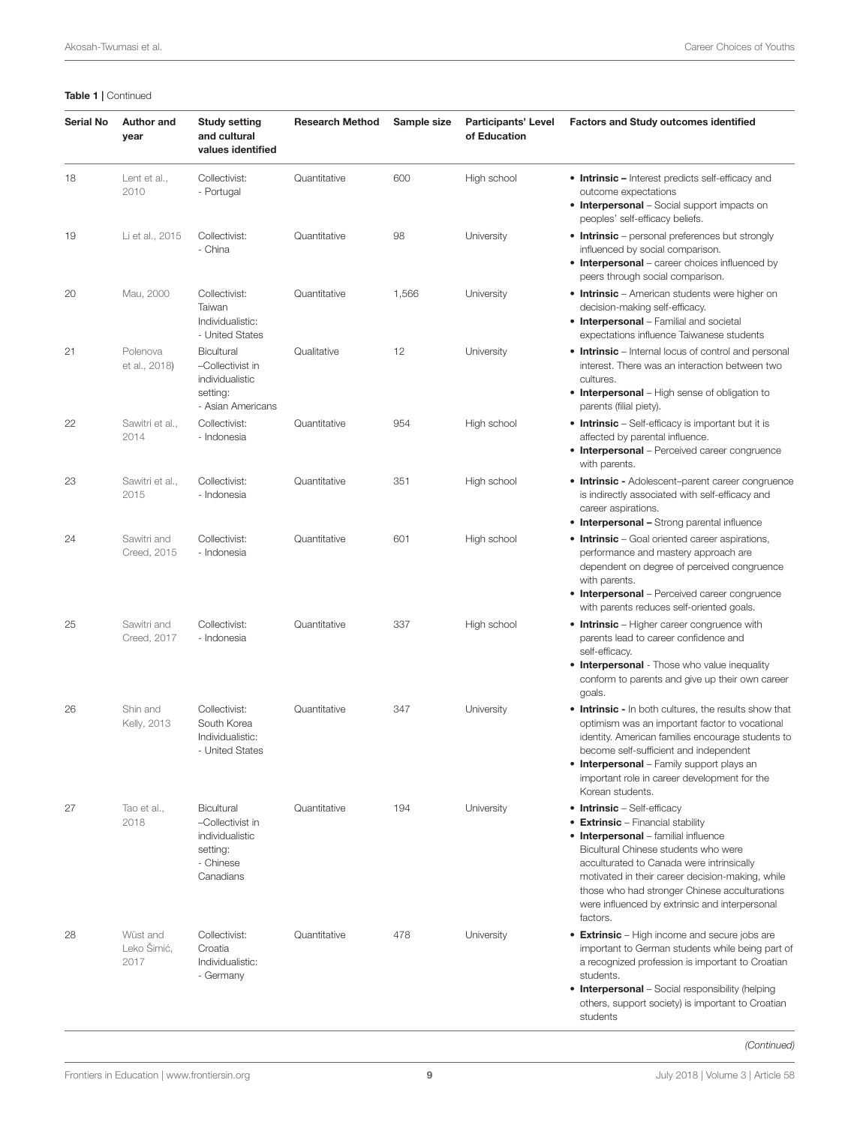#### Table 1 | Continued

| <b>Serial No</b> | <b>Author and</b><br>year       | <b>Study setting</b><br>and cultural<br>values identified                               | <b>Research Method</b> | Sample size | <b>Participants' Level</b><br>of Education | <b>Factors and Study outcomes identified</b>                                                                                                                                                                                                                                                                                                                            |
|------------------|---------------------------------|-----------------------------------------------------------------------------------------|------------------------|-------------|--------------------------------------------|-------------------------------------------------------------------------------------------------------------------------------------------------------------------------------------------------------------------------------------------------------------------------------------------------------------------------------------------------------------------------|
| 18               | Lent et al.,<br>2010            | Collectivist:<br>- Portugal                                                             | Quantitative           | 600         | High school                                | • Intrinsic - Interest predicts self-efficacy and<br>outcome expectations<br>• Interpersonal - Social support impacts on<br>peoples' self-efficacy beliefs.                                                                                                                                                                                                             |
| 19               | Li et al., 2015                 | Collectivist:<br>- China                                                                | Quantitative           | 98          | University                                 | • Intrinsic – personal preferences but strongly<br>influenced by social comparison.<br>• Interpersonal - career choices influenced by<br>peers through social comparison.                                                                                                                                                                                               |
| 20               | Mau, 2000                       | Collectivist:<br>Taiwan<br>Individualistic:<br>- United States                          | Quantitative           | 1,566       | University                                 | • Intrinsic - American students were higher on<br>decision-making self-efficacy.<br><b>• Interpersonal</b> - Familial and societal<br>expectations influence Taiwanese students                                                                                                                                                                                         |
| 21               | Polenova<br>et al., 2018)       | <b>Bicultural</b><br>-Collectivist in<br>individualistic<br>setting:                    | Qualitative            | 12          | University                                 | • Intrinsic - Internal locus of control and personal<br>interest. There was an interaction between two<br>cultures.<br>• Interpersonal – High sense of obligation to                                                                                                                                                                                                    |
| 22               | Sawitri et al.,<br>2014         | - Asian Americans<br>Collectivist:<br>- Indonesia                                       | Quantitative           | 954         | High school                                | parents (filial piety).<br>• Intrinsic - Self-efficacy is important but it is<br>affected by parental influence.<br>• Interpersonal - Perceived career congruence<br>with parents.                                                                                                                                                                                      |
| 23               | Sawitri et al.,<br>2015         | Collectivist:<br>- Indonesia                                                            | Quantitative           | 351         | High school                                | • Intrinsic - Adolescent-parent career congruence<br>is indirectly associated with self-efficacy and<br>career aspirations.<br>• Interpersonal - Strong parental influence                                                                                                                                                                                              |
| 24               | Sawitri and<br>Creed, 2015      | Collectivist:<br>- Indonesia                                                            | Quantitative           | 601         | High school                                | • Intrinsic - Goal oriented career aspirations,<br>performance and mastery approach are<br>dependent on degree of perceived congruence<br>with parents.<br>• Interpersonal - Perceived career congruence<br>with parents reduces self-oriented goals.                                                                                                                   |
| 25               | Sawitri and<br>Creed, 2017      | Collectivist:<br>- Indonesia                                                            | Quantitative           | 337         | High school                                | • Intrinsic - Higher career congruence with<br>parents lead to career confidence and<br>self-efficacy.<br><b>• Interpersonal</b> - Those who value inequality<br>conform to parents and give up their own career<br>goals.                                                                                                                                              |
| 26               | Shin and<br>Kelly, 2013         | Collectivist:<br>South Korea<br>Individualistic:<br>- United States                     | Quantitative           | 347         | University                                 | • Intrinsic - In both cultures, the results show that<br>optimism was an important factor to vocational<br>identity. American families encourage students to<br>become self-sufficient and independent<br><b>• Interpersonal</b> – Family support plays an<br>important role in career development for the<br>Korean students.                                          |
| 27               | Tao et al.,<br>2018             | Bicultural<br>-Collectivist in<br>individualistic<br>setting:<br>- Chinese<br>Canadians | Quantitative           | 194         | University                                 | • Intrinsic - Self-efficacy<br>• Extrinsic – Financial stability<br><b>• Interpersonal</b> - familial influence<br>Bicultural Chinese students who were<br>acculturated to Canada were intrinsically<br>motivated in their career decision-making, while<br>those who had stronger Chinese acculturations<br>were influenced by extrinsic and interpersonal<br>factors. |
| 28               | Wüst and<br>Leko Šimić,<br>2017 | Collectivist:<br>Croatia<br>Individualistic:<br>- Germany                               | Quantitative           | 478         | University                                 | • Extrinsic - High income and secure jobs are<br>important to German students while being part of<br>a recognized profession is important to Croatian<br>students.<br>• Interpersonal - Social responsibility (helping<br>others, support society) is important to Croatian<br>students                                                                                 |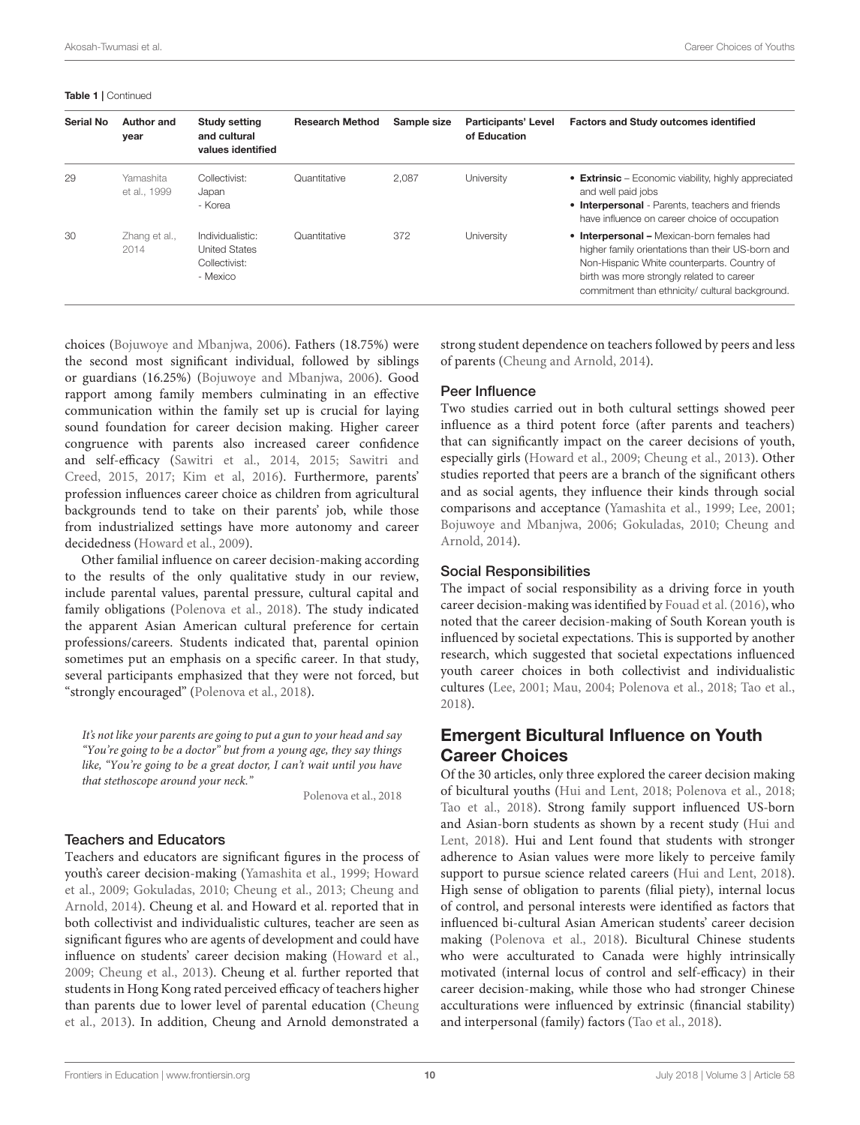#### Table 1 | Continued

| Serial No | Author and<br>year        | <b>Study setting</b><br>and cultural<br>values identified             | <b>Research Method</b> | Sample size | <b>Participants' Level</b><br>of Education | <b>Factors and Study outcomes identified</b>                                                                                                                                                                                                   |
|-----------|---------------------------|-----------------------------------------------------------------------|------------------------|-------------|--------------------------------------------|------------------------------------------------------------------------------------------------------------------------------------------------------------------------------------------------------------------------------------------------|
| 29        | Yamashita<br>et al., 1999 | Collectivist:<br>Japan<br>- Korea                                     | Quantitative           | 2.087       | University                                 | • Extrinsic – Economic viability, highly appreciated<br>and well paid jobs<br>• Interpersonal - Parents, teachers and friends<br>have influence on career choice of occupation                                                                 |
| 30        | Zhang et al.,<br>2014     | Individualistic:<br><b>United States</b><br>Collectivist:<br>- Mexico | Quantitative           | 372         | University                                 | • Interpersonal - Mexican-born females had<br>higher family orientations than their US-born and<br>Non-Hispanic White counterparts. Country of<br>birth was more strongly related to career<br>commitment than ethnicity/ cultural background. |

choices [\(Bojuwoye and Mbanjwa, 2006\)](#page-13-20). Fathers (18.75%) were the second most significant individual, followed by siblings or guardians (16.25%) [\(Bojuwoye and Mbanjwa, 2006\)](#page-13-20). Good rapport among family members culminating in an effective communication within the family set up is crucial for laying sound foundation for career decision making. Higher career congruence with parents also increased career confidence and self-efficacy [\(Sawitri et al., 2014,](#page-14-29) [2015;](#page-14-30) Sawitri and Creed, [2015,](#page-14-32) [2017;](#page-14-23) [Kim et al, 2016\)](#page-14-33). Furthermore, parents' profession influences career choice as children from agricultural backgrounds tend to take on their parents' job, while those from industrialized settings have more autonomy and career decidedness [\(Howard et al., 2009\)](#page-14-26).

Other familial influence on career decision-making according to the results of the only qualitative study in our review, include parental values, parental pressure, cultural capital and family obligations [\(Polenova et al., 2018\)](#page-14-34). The study indicated the apparent Asian American cultural preference for certain professions/careers. Students indicated that, parental opinion sometimes put an emphasis on a specific career. In that study, several participants emphasized that they were not forced, but "strongly encouraged" [\(Polenova et al., 2018\)](#page-14-34).

It's not like your parents are going to put a gun to your head and say "You're going to be a doctor" but from a young age, they say things like, "You're going to be a great doctor, I can't wait until you have that stethoscope around your neck."

[Polenova et al., 2018](#page-14-34)

#### Teachers and Educators

Teachers and educators are significant figures in the process of youth's career decision-making [\(Yamashita et al., 1999;](#page-14-35) Howard et al., [2009;](#page-14-26) [Gokuladas, 2010;](#page-13-4) [Cheung et al., 2013;](#page-13-15) Cheung and Arnold, [2014\)](#page-13-17). Cheung et al. and Howard et al. reported that in both collectivist and individualistic cultures, teacher are seen as significant figures who are agents of development and could have influence on students' career decision making [\(Howard et al.,](#page-14-26) [2009;](#page-14-26) [Cheung et al., 2013\)](#page-13-15). Cheung et al. further reported that students in Hong Kong rated perceived efficacy of teachers higher than parents due to lower level of parental education (Cheung et al., [2013\)](#page-13-15). In addition, Cheung and Arnold demonstrated a strong student dependence on teachers followed by peers and less of parents [\(Cheung and Arnold, 2014\)](#page-13-17).

#### Peer Influence

Two studies carried out in both cultural settings showed peer influence as a third potent force (after parents and teachers) that can significantly impact on the career decisions of youth, especially girls [\(Howard et al., 2009;](#page-14-26) [Cheung et al., 2013\)](#page-13-15). Other studies reported that peers are a branch of the significant others and as social agents, they influence their kinds through social comparisons and acceptance [\(Yamashita et al., 1999;](#page-14-35) [Lee, 2001;](#page-14-24) [Bojuwoye and Mbanjwa, 2006;](#page-13-20) [Gokuladas, 2010;](#page-13-4) Cheung and Arnold, [2014\)](#page-13-17).

#### Social Responsibilities

The impact of social responsibility as a driving force in youth career decision-making was identified by [Fouad et al. \(2016\)](#page-13-16), who noted that the career decision-making of South Korean youth is influenced by societal expectations. This is supported by another research, which suggested that societal expectations influenced youth career choices in both collectivist and individualistic cultures [\(Lee, 2001;](#page-14-24) [Mau, 2004;](#page-14-19) [Polenova et al., 2018;](#page-14-34) [Tao et al.,](#page-14-14) [2018\)](#page-14-14).

# Emergent Bicultural Influence on Youth Career Choices

Of the 30 articles, only three explored the career decision making of bicultural youths [\(Hui and Lent, 2018;](#page-14-13) [Polenova et al., 2018;](#page-14-34) [Tao et al., 2018\)](#page-14-14). Strong family support influenced US-born and Asian-born students as shown by a recent study (Hui and Lent, [2018\)](#page-14-13). Hui and Lent found that students with stronger adherence to Asian values were more likely to perceive family support to pursue science related careers [\(Hui and Lent, 2018\)](#page-14-13). High sense of obligation to parents (filial piety), internal locus of control, and personal interests were identified as factors that influenced bi-cultural Asian American students' career decision making [\(Polenova et al., 2018\)](#page-14-34). Bicultural Chinese students who were acculturated to Canada were highly intrinsically motivated (internal locus of control and self-efficacy) in their career decision-making, while those who had stronger Chinese acculturations were influenced by extrinsic (financial stability) and interpersonal (family) factors [\(Tao et al., 2018\)](#page-14-14).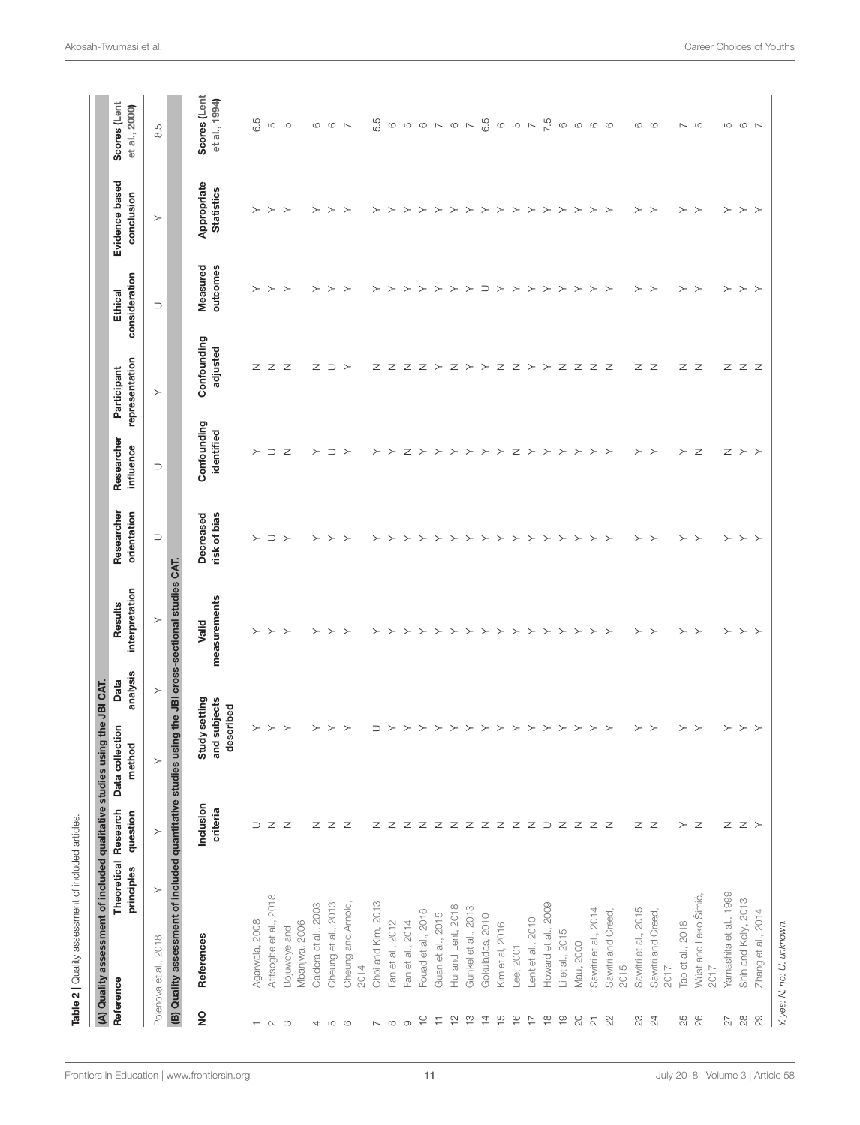<span id="page-10-0"></span>

| Confounding<br>identified<br>influence<br>Ζ<br>$\supset$<br>$\mathsf{z}$<br>$\succ$<br>$\succ$<br>Z ><br>$\succ$<br>$\succ$<br>$\mathsf{z}$<br>$z \, \succ \, \succ$<br>$\supset$<br>$\succ$<br>$\succ$<br>$\succ$<br>$\succ$<br>$\succ$<br>$\succ$<br>$\succ$<br>$\succ$<br>$\succ$<br>$\succ$<br>$\rightarrow$<br>$\succ$<br>$\succ$<br>$\succ$<br>$\succ$<br>$\supset$<br>orientation<br>risk of bias<br>Decreased<br>$\supset$<br>$\succ$<br>$\succ$<br>$\succ$<br>$\succ$<br>$\succ$<br>$\succ$<br>$\succ$<br>$\succ$<br>$\succ$<br>$\succ$<br>$\succ$<br>$\succ$<br>$\succ$<br>$\left. \right. \right. \left. \right. \left. \right. \left. \right. \left. \right. \left. \right. \left. \left. \right. \left. \right. \left. \right. \left. \left. \right. \right. \left. \left. \right. \left. \left. \right. \right. \left. \left. \right. \left. \right. \left. \left. \right. \right. \left. \left. \right. \right. \left. \left. \right. \right. \left. \left. \right. \right. \left. \left. \right. \left. \left. \right. \right. \left. \left. \right. \right. \left. \left. \right. \right. \left. \left. \right. \left. \left. \right. \$<br>$\succ$<br>$\succ$<br>$\succ$<br>$\succ$<br>$\supset$<br>$\succ$<br>$\succ$<br>$\succ$<br>$\succ$<br>$\succ$<br>$\succ$<br>$\succ$<br>$\rightarrow$<br>≻<br>the JBI cross-sectional studies CAT.<br>interpretation<br>measurements<br>$\succ$<br>Valid<br>$\succ$<br>$\rightarrow$<br>$\rightarrow$<br>$\succ$<br>$\succ$<br>$\succ$<br>$\succ$<br>$\rightarrow$<br>$\succ$<br>$\succ$<br>$\succ$<br>$\succ$<br>$\succ$<br>≻<br>$\succ$<br>$\succ$<br>$\succ$<br>≻<br>$\succ$<br>$\succ$<br>$\succ$<br>$\rightarrow$<br>≻<br>$\rightarrow$<br>$\rightarrow$<br>≻<br>≻<br>analysis<br>$\succ$<br>setting<br>and subjects<br>described<br>$\succ$<br>$\succ$<br>$\succ$<br>$\,>\,$<br>$\succ$<br>$\succ$<br>$\succ$<br>⊃<br>$\succ$<br>$\succ$<br>$\succ$<br>$\succ$<br>$\succ$<br>$\succ$<br>$\succ$<br>≻<br>≻<br>$\succ$<br>≻<br>$\rightarrow$<br>≻<br>≻<br>≻<br>≻<br>≻<br>≻<br>≻<br>(B) Quality assessment of included quantitative studies using<br>Study<br>method<br>$\succ$<br>Inclusion<br>criteria<br>question<br>$\ni z$ z<br>$Z$ $Z$ $>$<br>z z z<br>Z Z Z Z Z Z Z Z Z Z Z D Z Z Z Z<br>z z<br>> z<br>$\succ$<br>principles<br>$\succ$<br>Yamashita et al., 1999<br>Attsogbe et al., 2018<br>Wüst and Leko Šimić,<br>Shin and Kelly, 2013<br>Choi and Kim, 2013<br>Cheung et al., 2013<br>Caldera et al., 2003<br>Cheung and Arnold,<br>Howard et al., 2009<br>Hui and Lent, 2018<br>Gunkel et al., 2013<br>Sawitri et al., 2014<br>Sawitri et al., 2015<br>Fouad et al., 2016<br>Sawitri and Creed,<br>Sawitri and Creed<br>Guan et al., 2015<br>Gokuladas, 2010<br>Lent et al., 2010<br>Agarwala, 2008<br>Fan et al., 2014<br>Mbanjwa, 2006<br>Fan et al., 2012<br>Tao et al., 2018<br>Kim et al, 2016<br>Bojuwoye and<br>Li et al., 2015<br>References<br>2018<br>Mau, 2000<br>Lee, 2001<br>Polenova et al.,<br>2014<br>2017<br>2015<br>2017 | representation<br>Participant | consideration<br>Ethical | Evidence based<br>conclusion     | Scores (Lent<br>et al., 2000) |
|-----------------------------------------------------------------------------------------------------------------------------------------------------------------------------------------------------------------------------------------------------------------------------------------------------------------------------------------------------------------------------------------------------------------------------------------------------------------------------------------------------------------------------------------------------------------------------------------------------------------------------------------------------------------------------------------------------------------------------------------------------------------------------------------------------------------------------------------------------------------------------------------------------------------------------------------------------------------------------------------------------------------------------------------------------------------------------------------------------------------------------------------------------------------------------------------------------------------------------------------------------------------------------------------------------------------------------------------------------------------------------------------------------------------------------------------------------------------------------------------------------------------------------------------------------------------------------------------------------------------------------------------------------------------------------------------------------------------------------------------------------------------------------------------------------------------------------------------------------------------------------------------------------------------------------------------------------------------------------------------------------------------------------------------------------------------------------------------------------------------------------------------------------------------------------------------------------------------------------------------------------------------------------------------------------------------------------------------------------------------------------------------------------------------------------------------------------------------------------------------------------------------------------------------------------------------------------------------------------------------------------------------------------------------------------------------------------------------------------------------------------------------------------------------------------------------------------------------------------------------------------------------------------------------------------------------------------------------------------------------------------------------------|-------------------------------|--------------------------|----------------------------------|-------------------------------|
|                                                                                                                                                                                                                                                                                                                                                                                                                                                                                                                                                                                                                                                                                                                                                                                                                                                                                                                                                                                                                                                                                                                                                                                                                                                                                                                                                                                                                                                                                                                                                                                                                                                                                                                                                                                                                                                                                                                                                                                                                                                                                                                                                                                                                                                                                                                                                                                                                                                                                                                                                                                                                                                                                                                                                                                                                                                                                                                                                                                                                       | $\succ$                       | $\supset$                | $\succ$                          | 8.5                           |
| $\frac{1}{2}$<br>$\approx$<br>$\stackrel{\sim}{\sim}$<br>$\frac{\infty}{\tau}$<br>$\frac{1}{2}$<br>$\rm ^{\rm 2}$<br>$\mathbb{S}^2$<br>82<br>26<br>$\widetilde{C}$<br>$\frac{\infty}{\sim}$<br>$\overline{4}$<br>$\frac{5}{1}$<br>$\frac{6}{1}$<br>$\overline{\phantom{0}}$<br>$\overline{\sim}$<br>$\overline{2}$<br>$\sqrt{2}$<br>Ξ<br>22<br>$\circ$<br>$\infty$<br>$\sim$ $\infty$<br>$\circ$<br>$\overline{\phantom{a}}$<br>$\mathfrak{S}$<br>$\overline{ }$<br>4                                                                                                                                                                                                                                                                                                                                                                                                                                                                                                                                                                                                                                                                                                                                                                                                                                                                                                                                                                                                                                                                                                                                                                                                                                                                                                                                                                                                                                                                                                                                                                                                                                                                                                                                                                                                                                                                                                                                                                                                                                                                                                                                                                                                                                                                                                                                                                                                                                                                                                                                                 |                               |                          |                                  |                               |
|                                                                                                                                                                                                                                                                                                                                                                                                                                                                                                                                                                                                                                                                                                                                                                                                                                                                                                                                                                                                                                                                                                                                                                                                                                                                                                                                                                                                                                                                                                                                                                                                                                                                                                                                                                                                                                                                                                                                                                                                                                                                                                                                                                                                                                                                                                                                                                                                                                                                                                                                                                                                                                                                                                                                                                                                                                                                                                                                                                                                                       | Confounding<br>adjusted       | outcomes<br>Measured     | Appropriate<br><b>Statistics</b> | Scores (Lent<br>et al., 1994) |
|                                                                                                                                                                                                                                                                                                                                                                                                                                                                                                                                                                                                                                                                                                                                                                                                                                                                                                                                                                                                                                                                                                                                                                                                                                                                                                                                                                                                                                                                                                                                                                                                                                                                                                                                                                                                                                                                                                                                                                                                                                                                                                                                                                                                                                                                                                                                                                                                                                                                                                                                                                                                                                                                                                                                                                                                                                                                                                                                                                                                                       |                               | $\succ$                  | $\succ$                          | 6.5                           |
|                                                                                                                                                                                                                                                                                                                                                                                                                                                                                                                                                                                                                                                                                                                                                                                                                                                                                                                                                                                                                                                                                                                                                                                                                                                                                                                                                                                                                                                                                                                                                                                                                                                                                                                                                                                                                                                                                                                                                                                                                                                                                                                                                                                                                                                                                                                                                                                                                                                                                                                                                                                                                                                                                                                                                                                                                                                                                                                                                                                                                       | z z z                         | $\succ$                  | $\succ$                          | 5                             |
|                                                                                                                                                                                                                                                                                                                                                                                                                                                                                                                                                                                                                                                                                                                                                                                                                                                                                                                                                                                                                                                                                                                                                                                                                                                                                                                                                                                                                                                                                                                                                                                                                                                                                                                                                                                                                                                                                                                                                                                                                                                                                                                                                                                                                                                                                                                                                                                                                                                                                                                                                                                                                                                                                                                                                                                                                                                                                                                                                                                                                       |                               | $\succ$                  | $\succ$                          | S                             |
|                                                                                                                                                                                                                                                                                                                                                                                                                                                                                                                                                                                                                                                                                                                                                                                                                                                                                                                                                                                                                                                                                                                                                                                                                                                                                                                                                                                                                                                                                                                                                                                                                                                                                                                                                                                                                                                                                                                                                                                                                                                                                                                                                                                                                                                                                                                                                                                                                                                                                                                                                                                                                                                                                                                                                                                                                                                                                                                                                                                                                       |                               | $\succ$                  | $\succ$                          | $\circ$                       |
|                                                                                                                                                                                                                                                                                                                                                                                                                                                                                                                                                                                                                                                                                                                                                                                                                                                                                                                                                                                                                                                                                                                                                                                                                                                                                                                                                                                                                                                                                                                                                                                                                                                                                                                                                                                                                                                                                                                                                                                                                                                                                                                                                                                                                                                                                                                                                                                                                                                                                                                                                                                                                                                                                                                                                                                                                                                                                                                                                                                                                       | $Z \supset$                   | $\succ$                  | $\succ$                          | $\circ$ $\sim$                |
|                                                                                                                                                                                                                                                                                                                                                                                                                                                                                                                                                                                                                                                                                                                                                                                                                                                                                                                                                                                                                                                                                                                                                                                                                                                                                                                                                                                                                                                                                                                                                                                                                                                                                                                                                                                                                                                                                                                                                                                                                                                                                                                                                                                                                                                                                                                                                                                                                                                                                                                                                                                                                                                                                                                                                                                                                                                                                                                                                                                                                       |                               | $\rightarrow$            | $\rightarrow$                    |                               |
|                                                                                                                                                                                                                                                                                                                                                                                                                                                                                                                                                                                                                                                                                                                                                                                                                                                                                                                                                                                                                                                                                                                                                                                                                                                                                                                                                                                                                                                                                                                                                                                                                                                                                                                                                                                                                                                                                                                                                                                                                                                                                                                                                                                                                                                                                                                                                                                                                                                                                                                                                                                                                                                                                                                                                                                                                                                                                                                                                                                                                       |                               | $\succ$                  | $\succ$                          | 5.5                           |
|                                                                                                                                                                                                                                                                                                                                                                                                                                                                                                                                                                                                                                                                                                                                                                                                                                                                                                                                                                                                                                                                                                                                                                                                                                                                                                                                                                                                                                                                                                                                                                                                                                                                                                                                                                                                                                                                                                                                                                                                                                                                                                                                                                                                                                                                                                                                                                                                                                                                                                                                                                                                                                                                                                                                                                                                                                                                                                                                                                                                                       |                               | $\succ$                  | $\succ$                          | $\circlearrowright$           |
|                                                                                                                                                                                                                                                                                                                                                                                                                                                                                                                                                                                                                                                                                                                                                                                                                                                                                                                                                                                                                                                                                                                                                                                                                                                                                                                                                                                                                                                                                                                                                                                                                                                                                                                                                                                                                                                                                                                                                                                                                                                                                                                                                                                                                                                                                                                                                                                                                                                                                                                                                                                                                                                                                                                                                                                                                                                                                                                                                                                                                       |                               | $\succ$                  | $\succ$                          | $\mathfrak{S}$                |
|                                                                                                                                                                                                                                                                                                                                                                                                                                                                                                                                                                                                                                                                                                                                                                                                                                                                                                                                                                                                                                                                                                                                                                                                                                                                                                                                                                                                                                                                                                                                                                                                                                                                                                                                                                                                                                                                                                                                                                                                                                                                                                                                                                                                                                                                                                                                                                                                                                                                                                                                                                                                                                                                                                                                                                                                                                                                                                                                                                                                                       |                               | $\succ$                  | $\succ$                          | $\circ$                       |
|                                                                                                                                                                                                                                                                                                                                                                                                                                                                                                                                                                                                                                                                                                                                                                                                                                                                                                                                                                                                                                                                                                                                                                                                                                                                                                                                                                                                                                                                                                                                                                                                                                                                                                                                                                                                                                                                                                                                                                                                                                                                                                                                                                                                                                                                                                                                                                                                                                                                                                                                                                                                                                                                                                                                                                                                                                                                                                                                                                                                                       |                               | $\succ$                  | $\succ$                          | $\sim$ $\circ$                |
|                                                                                                                                                                                                                                                                                                                                                                                                                                                                                                                                                                                                                                                                                                                                                                                                                                                                                                                                                                                                                                                                                                                                                                                                                                                                                                                                                                                                                                                                                                                                                                                                                                                                                                                                                                                                                                                                                                                                                                                                                                                                                                                                                                                                                                                                                                                                                                                                                                                                                                                                                                                                                                                                                                                                                                                                                                                                                                                                                                                                                       | $Z Z Z Z \succ Z \succ Z$     | $\succ$                  | $\succ$                          |                               |
|                                                                                                                                                                                                                                                                                                                                                                                                                                                                                                                                                                                                                                                                                                                                                                                                                                                                                                                                                                                                                                                                                                                                                                                                                                                                                                                                                                                                                                                                                                                                                                                                                                                                                                                                                                                                                                                                                                                                                                                                                                                                                                                                                                                                                                                                                                                                                                                                                                                                                                                                                                                                                                                                                                                                                                                                                                                                                                                                                                                                                       |                               | $\succ$                  | $\succ$                          | $\mathord{\sim}$              |
|                                                                                                                                                                                                                                                                                                                                                                                                                                                                                                                                                                                                                                                                                                                                                                                                                                                                                                                                                                                                                                                                                                                                                                                                                                                                                                                                                                                                                                                                                                                                                                                                                                                                                                                                                                                                                                                                                                                                                                                                                                                                                                                                                                                                                                                                                                                                                                                                                                                                                                                                                                                                                                                                                                                                                                                                                                                                                                                                                                                                                       |                               | $\supset$                | $\succ$                          | 6.5                           |
|                                                                                                                                                                                                                                                                                                                                                                                                                                                                                                                                                                                                                                                                                                                                                                                                                                                                                                                                                                                                                                                                                                                                                                                                                                                                                                                                                                                                                                                                                                                                                                                                                                                                                                                                                                                                                                                                                                                                                                                                                                                                                                                                                                                                                                                                                                                                                                                                                                                                                                                                                                                                                                                                                                                                                                                                                                                                                                                                                                                                                       |                               | $\succ$                  | $\succ$                          | $\circ$                       |
|                                                                                                                                                                                                                                                                                                                                                                                                                                                                                                                                                                                                                                                                                                                                                                                                                                                                                                                                                                                                                                                                                                                                                                                                                                                                                                                                                                                                                                                                                                                                                                                                                                                                                                                                                                                                                                                                                                                                                                                                                                                                                                                                                                                                                                                                                                                                                                                                                                                                                                                                                                                                                                                                                                                                                                                                                                                                                                                                                                                                                       | $Z Z \succ Y$                 | $\succ$                  | $\succ$                          | $\sim$ $\sim$                 |
|                                                                                                                                                                                                                                                                                                                                                                                                                                                                                                                                                                                                                                                                                                                                                                                                                                                                                                                                                                                                                                                                                                                                                                                                                                                                                                                                                                                                                                                                                                                                                                                                                                                                                                                                                                                                                                                                                                                                                                                                                                                                                                                                                                                                                                                                                                                                                                                                                                                                                                                                                                                                                                                                                                                                                                                                                                                                                                                                                                                                                       |                               | $\succ$                  | $\succ$                          |                               |
|                                                                                                                                                                                                                                                                                                                                                                                                                                                                                                                                                                                                                                                                                                                                                                                                                                                                                                                                                                                                                                                                                                                                                                                                                                                                                                                                                                                                                                                                                                                                                                                                                                                                                                                                                                                                                                                                                                                                                                                                                                                                                                                                                                                                                                                                                                                                                                                                                                                                                                                                                                                                                                                                                                                                                                                                                                                                                                                                                                                                                       |                               | $\succ$                  | $\succ$                          | 7.5                           |
|                                                                                                                                                                                                                                                                                                                                                                                                                                                                                                                                                                                                                                                                                                                                                                                                                                                                                                                                                                                                                                                                                                                                                                                                                                                                                                                                                                                                                                                                                                                                                                                                                                                                                                                                                                                                                                                                                                                                                                                                                                                                                                                                                                                                                                                                                                                                                                                                                                                                                                                                                                                                                                                                                                                                                                                                                                                                                                                                                                                                                       | $\mathsf{z}$                  | $\succ$                  | $\succ$                          | $\circ$                       |
|                                                                                                                                                                                                                                                                                                                                                                                                                                                                                                                                                                                                                                                                                                                                                                                                                                                                                                                                                                                                                                                                                                                                                                                                                                                                                                                                                                                                                                                                                                                                                                                                                                                                                                                                                                                                                                                                                                                                                                                                                                                                                                                                                                                                                                                                                                                                                                                                                                                                                                                                                                                                                                                                                                                                                                                                                                                                                                                                                                                                                       | $Z$ $Z$ $Z$                   | $\succ$                  | $\succ$                          | $\circlearrowright$           |
|                                                                                                                                                                                                                                                                                                                                                                                                                                                                                                                                                                                                                                                                                                                                                                                                                                                                                                                                                                                                                                                                                                                                                                                                                                                                                                                                                                                                                                                                                                                                                                                                                                                                                                                                                                                                                                                                                                                                                                                                                                                                                                                                                                                                                                                                                                                                                                                                                                                                                                                                                                                                                                                                                                                                                                                                                                                                                                                                                                                                                       |                               | $\succ$                  | $\succ$                          | $\circ$ $\circ$               |
|                                                                                                                                                                                                                                                                                                                                                                                                                                                                                                                                                                                                                                                                                                                                                                                                                                                                                                                                                                                                                                                                                                                                                                                                                                                                                                                                                                                                                                                                                                                                                                                                                                                                                                                                                                                                                                                                                                                                                                                                                                                                                                                                                                                                                                                                                                                                                                                                                                                                                                                                                                                                                                                                                                                                                                                                                                                                                                                                                                                                                       |                               | $\rightarrow$            | $\rightarrow$                    |                               |
|                                                                                                                                                                                                                                                                                                                                                                                                                                                                                                                                                                                                                                                                                                                                                                                                                                                                                                                                                                                                                                                                                                                                                                                                                                                                                                                                                                                                                                                                                                                                                                                                                                                                                                                                                                                                                                                                                                                                                                                                                                                                                                                                                                                                                                                                                                                                                                                                                                                                                                                                                                                                                                                                                                                                                                                                                                                                                                                                                                                                                       |                               | $\succ$                  | $\succ$                          | $\circlearrowright$           |
|                                                                                                                                                                                                                                                                                                                                                                                                                                                                                                                                                                                                                                                                                                                                                                                                                                                                                                                                                                                                                                                                                                                                                                                                                                                                                                                                                                                                                                                                                                                                                                                                                                                                                                                                                                                                                                                                                                                                                                                                                                                                                                                                                                                                                                                                                                                                                                                                                                                                                                                                                                                                                                                                                                                                                                                                                                                                                                                                                                                                                       | z z                           | $\left. \right.$         | $\left. \right.$                 | $\circ$                       |
|                                                                                                                                                                                                                                                                                                                                                                                                                                                                                                                                                                                                                                                                                                                                                                                                                                                                                                                                                                                                                                                                                                                                                                                                                                                                                                                                                                                                                                                                                                                                                                                                                                                                                                                                                                                                                                                                                                                                                                                                                                                                                                                                                                                                                                                                                                                                                                                                                                                                                                                                                                                                                                                                                                                                                                                                                                                                                                                                                                                                                       |                               | $\succ$                  | $\succ$                          |                               |
|                                                                                                                                                                                                                                                                                                                                                                                                                                                                                                                                                                                                                                                                                                                                                                                                                                                                                                                                                                                                                                                                                                                                                                                                                                                                                                                                                                                                                                                                                                                                                                                                                                                                                                                                                                                                                                                                                                                                                                                                                                                                                                                                                                                                                                                                                                                                                                                                                                                                                                                                                                                                                                                                                                                                                                                                                                                                                                                                                                                                                       | z z                           | $\succ$                  | $\succ$                          | 7<br>5                        |
|                                                                                                                                                                                                                                                                                                                                                                                                                                                                                                                                                                                                                                                                                                                                                                                                                                                                                                                                                                                                                                                                                                                                                                                                                                                                                                                                                                                                                                                                                                                                                                                                                                                                                                                                                                                                                                                                                                                                                                                                                                                                                                                                                                                                                                                                                                                                                                                                                                                                                                                                                                                                                                                                                                                                                                                                                                                                                                                                                                                                                       |                               | $\succ$                  | $\succ$                          |                               |
|                                                                                                                                                                                                                                                                                                                                                                                                                                                                                                                                                                                                                                                                                                                                                                                                                                                                                                                                                                                                                                                                                                                                                                                                                                                                                                                                                                                                                                                                                                                                                                                                                                                                                                                                                                                                                                                                                                                                                                                                                                                                                                                                                                                                                                                                                                                                                                                                                                                                                                                                                                                                                                                                                                                                                                                                                                                                                                                                                                                                                       | z z z                         | $\succ$                  | $\succ$                          | 500                           |
| $\rightarrow$<br>$\lambda$<br>$\succ$<br>Zhang et al., 2014<br>$_{29}$                                                                                                                                                                                                                                                                                                                                                                                                                                                                                                                                                                                                                                                                                                                                                                                                                                                                                                                                                                                                                                                                                                                                                                                                                                                                                                                                                                                                                                                                                                                                                                                                                                                                                                                                                                                                                                                                                                                                                                                                                                                                                                                                                                                                                                                                                                                                                                                                                                                                                                                                                                                                                                                                                                                                                                                                                                                                                                                                                |                               | →                        | $\rightarrow$                    |                               |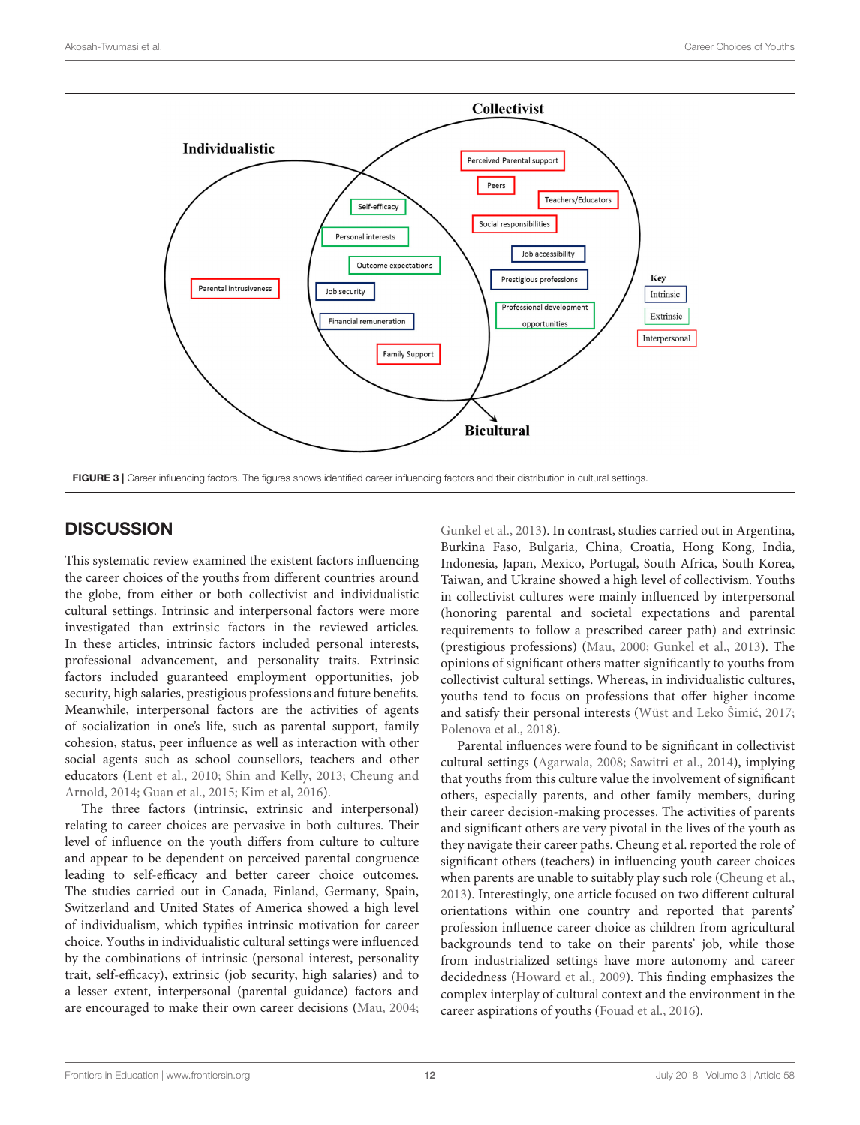

# <span id="page-11-0"></span>**DISCUSSION**

This systematic review examined the existent factors influencing the career choices of the youths from different countries around the globe, from either or both collectivist and individualistic cultural settings. Intrinsic and interpersonal factors were more investigated than extrinsic factors in the reviewed articles. In these articles, intrinsic factors included personal interests, professional advancement, and personality traits. Extrinsic factors included guaranteed employment opportunities, job security, high salaries, prestigious professions and future benefits. Meanwhile, interpersonal factors are the activities of agents of socialization in one's life, such as parental support, family cohesion, status, peer influence as well as interaction with other social agents such as school counsellors, teachers and other educators [\(Lent et al., 2010;](#page-14-27) [Shin and Kelly, 2013;](#page-14-28) Cheung and Arnold, [2014;](#page-13-17) [Guan et al., 2015;](#page-13-9) [Kim et al, 2016\)](#page-14-33).

The three factors (intrinsic, extrinsic and interpersonal) relating to career choices are pervasive in both cultures. Their level of influence on the youth differs from culture to culture and appear to be dependent on perceived parental congruence leading to self-efficacy and better career choice outcomes. The studies carried out in Canada, Finland, Germany, Spain, Switzerland and United States of America showed a high level of individualism, which typifies intrinsic motivation for career choice. Youths in individualistic cultural settings were influenced by the combinations of intrinsic (personal interest, personality trait, self-efficacy), extrinsic (job security, high salaries) and to a lesser extent, interpersonal (parental guidance) factors and are encouraged to make their own career decisions [\(Mau, 2004;](#page-14-19) [Gunkel et al., 2013\)](#page-14-25). In contrast, studies carried out in Argentina, Burkina Faso, Bulgaria, China, Croatia, Hong Kong, India, Indonesia, Japan, Mexico, Portugal, South Africa, South Korea, Taiwan, and Ukraine showed a high level of collectivism. Youths in collectivist cultures were mainly influenced by interpersonal (honoring parental and societal expectations and parental requirements to follow a prescribed career path) and extrinsic (prestigious professions) [\(Mau, 2000;](#page-14-11) [Gunkel et al., 2013\)](#page-14-25). The opinions of significant others matter significantly to youths from collectivist cultural settings. Whereas, in individualistic cultures, youths tend to focus on professions that offer higher income and satisfy their personal interests (Wüst and Leko Šimić, 2017; [Polenova et al., 2018\)](#page-14-34).

Parental influences were found to be significant in collectivist cultural settings [\(Agarwala, 2008;](#page-13-21) [Sawitri et al., 2014\)](#page-14-29), implying that youths from this culture value the involvement of significant others, especially parents, and other family members, during their career decision-making processes. The activities of parents and significant others are very pivotal in the lives of the youth as they navigate their career paths. Cheung et al. reported the role of significant others (teachers) in influencing youth career choices when parents are unable to suitably play such role [\(Cheung et al.,](#page-13-15) [2013\)](#page-13-15). Interestingly, one article focused on two different cultural orientations within one country and reported that parents' profession influence career choice as children from agricultural backgrounds tend to take on their parents' job, while those from industrialized settings have more autonomy and career decidedness [\(Howard et al., 2009\)](#page-14-26). This finding emphasizes the complex interplay of cultural context and the environment in the career aspirations of youths [\(Fouad et al., 2016\)](#page-13-16).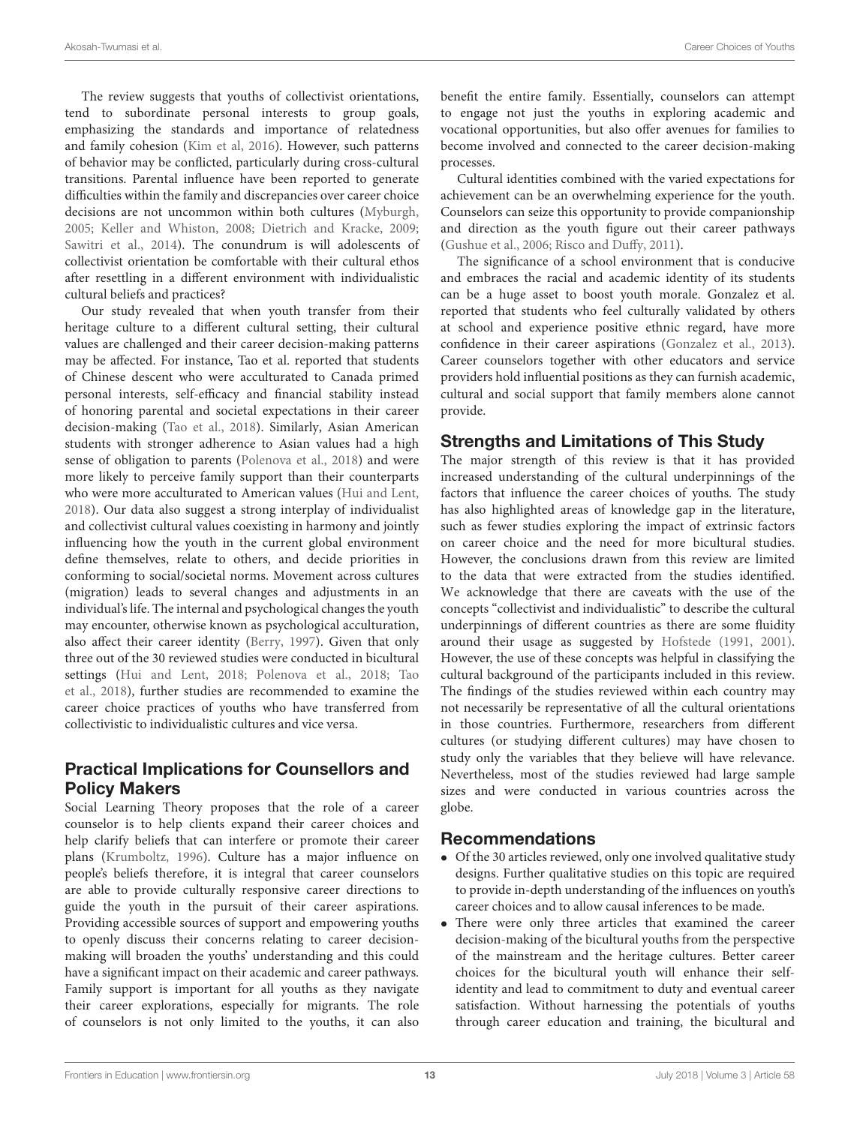The review suggests that youths of collectivist orientations, tend to subordinate personal interests to group goals, emphasizing the standards and importance of relatedness and family cohesion [\(Kim et al, 2016\)](#page-14-33). However, such patterns of behavior may be conflicted, particularly during cross-cultural transitions. Parental influence have been reported to generate difficulties within the family and discrepancies over career choice decisions are not uncommon within both cultures [\(Myburgh,](#page-14-37) [2005;](#page-14-37) [Keller and Whiston, 2008;](#page-14-38) [Dietrich and Kracke, 2009;](#page-13-22) [Sawitri et al., 2014\)](#page-14-29). The conundrum is will adolescents of collectivist orientation be comfortable with their cultural ethos after resettling in a different environment with individualistic cultural beliefs and practices?

Our study revealed that when youth transfer from their heritage culture to a different cultural setting, their cultural values are challenged and their career decision-making patterns may be affected. For instance, Tao et al. reported that students of Chinese descent who were acculturated to Canada primed personal interests, self-efficacy and financial stability instead of honoring parental and societal expectations in their career decision-making [\(Tao et al., 2018\)](#page-14-14). Similarly, Asian American students with stronger adherence to Asian values had a high sense of obligation to parents [\(Polenova et al., 2018\)](#page-14-34) and were more likely to perceive family support than their counterparts who were more acculturated to American values [\(Hui and Lent,](#page-14-13) [2018\)](#page-14-13). Our data also suggest a strong interplay of individualist and collectivist cultural values coexisting in harmony and jointly influencing how the youth in the current global environment define themselves, relate to others, and decide priorities in conforming to social/societal norms. Movement across cultures (migration) leads to several changes and adjustments in an individual's life. The internal and psychological changes the youth may encounter, otherwise known as psychological acculturation, also affect their career identity [\(Berry, 1997\)](#page-13-23). Given that only three out of the 30 reviewed studies were conducted in bicultural settings [\(Hui and Lent, 2018;](#page-14-13) [Polenova et al., 2018;](#page-14-34) Tao et al., [2018\)](#page-14-14), further studies are recommended to examine the career choice practices of youths who have transferred from collectivistic to individualistic cultures and vice versa.

# Practical Implications for Counsellors and Policy Makers

Social Learning Theory proposes that the role of a career counselor is to help clients expand their career choices and help clarify beliefs that can interfere or promote their career plans [\(Krumboltz, 1996\)](#page-14-39). Culture has a major influence on people's beliefs therefore, it is integral that career counselors are able to provide culturally responsive career directions to guide the youth in the pursuit of their career aspirations. Providing accessible sources of support and empowering youths to openly discuss their concerns relating to career decisionmaking will broaden the youths' understanding and this could have a significant impact on their academic and career pathways. Family support is important for all youths as they navigate their career explorations, especially for migrants. The role of counselors is not only limited to the youths, it can also benefit the entire family. Essentially, counselors can attempt to engage not just the youths in exploring academic and vocational opportunities, but also offer avenues for families to become involved and connected to the career decision-making processes.

Cultural identities combined with the varied expectations for achievement can be an overwhelming experience for the youth. Counselors can seize this opportunity to provide companionship and direction as the youth figure out their career pathways [\(Gushue et al., 2006;](#page-14-40) [Risco and Duffy, 2011\)](#page-14-41).

The significance of a school environment that is conducive and embraces the racial and academic identity of its students can be a huge asset to boost youth morale. Gonzalez et al. reported that students who feel culturally validated by others at school and experience positive ethnic regard, have more confidence in their career aspirations [\(Gonzalez et al., 2013\)](#page-13-24). Career counselors together with other educators and service providers hold influential positions as they can furnish academic, cultural and social support that family members alone cannot provide.

# Strengths and Limitations of This Study

The major strength of this review is that it has provided increased understanding of the cultural underpinnings of the factors that influence the career choices of youths. The study has also highlighted areas of knowledge gap in the literature, such as fewer studies exploring the impact of extrinsic factors on career choice and the need for more bicultural studies. However, the conclusions drawn from this review are limited to the data that were extracted from the studies identified. We acknowledge that there are caveats with the use of the concepts "collectivist and individualistic" to describe the cultural underpinnings of different countries as there are some fluidity around their usage as suggested by [Hofstede \(1991,](#page-14-42) [2001\)](#page-14-15). However, the use of these concepts was helpful in classifying the cultural background of the participants included in this review. The findings of the studies reviewed within each country may not necessarily be representative of all the cultural orientations in those countries. Furthermore, researchers from different cultures (or studying different cultures) may have chosen to study only the variables that they believe will have relevance. Nevertheless, most of the studies reviewed had large sample sizes and were conducted in various countries across the globe.

# Recommendations

- Of the 30 articles reviewed, only one involved qualitative study designs. Further qualitative studies on this topic are required to provide in-depth understanding of the influences on youth's career choices and to allow causal inferences to be made.
- There were only three articles that examined the career decision-making of the bicultural youths from the perspective of the mainstream and the heritage cultures. Better career choices for the bicultural youth will enhance their selfidentity and lead to commitment to duty and eventual career satisfaction. Without harnessing the potentials of youths through career education and training, the bicultural and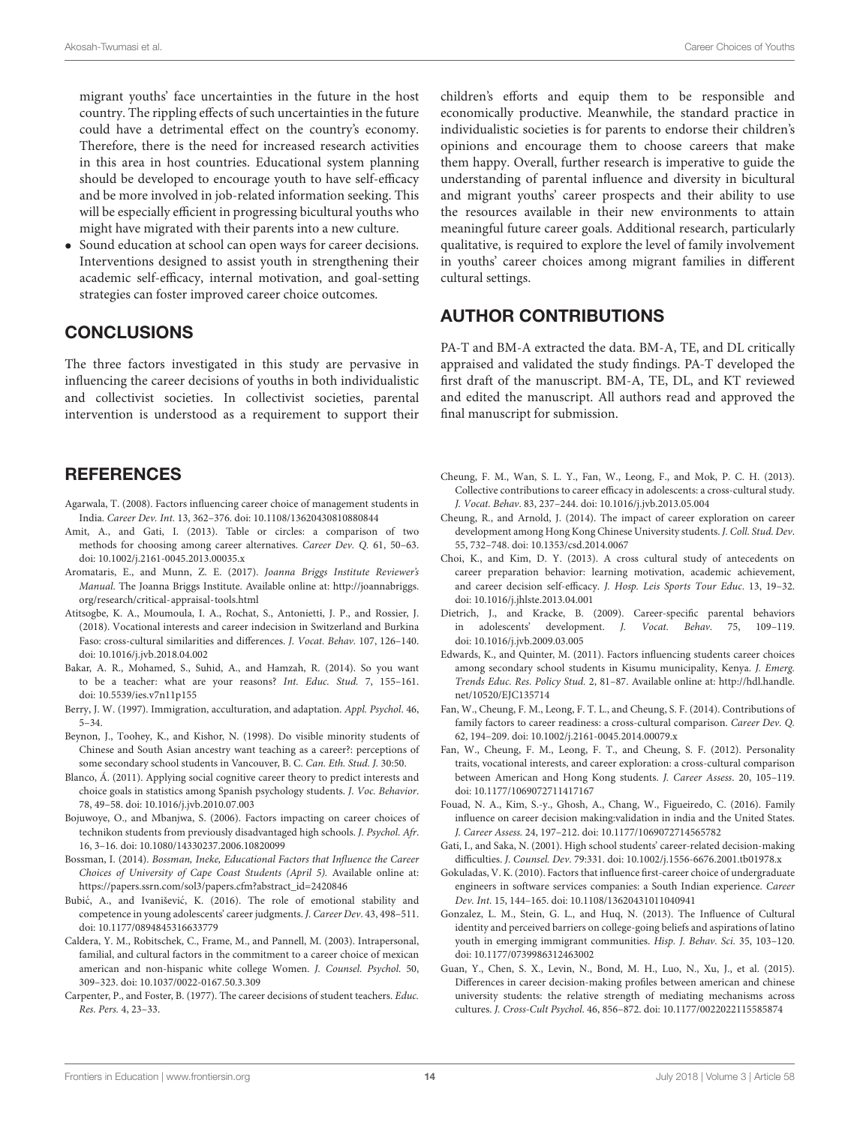migrant youths' face uncertainties in the future in the host country. The rippling effects of such uncertainties in the future could have a detrimental effect on the country's economy. Therefore, there is the need for increased research activities in this area in host countries. Educational system planning should be developed to encourage youth to have self-efficacy and be more involved in job-related information seeking. This will be especially efficient in progressing bicultural youths who might have migrated with their parents into a new culture.

Sound education at school can open ways for career decisions. Interventions designed to assist youth in strengthening their academic self-efficacy, internal motivation, and goal-setting strategies can foster improved career choice outcomes.

## **CONCLUSIONS**

The three factors investigated in this study are pervasive in influencing the career decisions of youths in both individualistic and collectivist societies. In collectivist societies, parental intervention is understood as a requirement to support their

# **REFERENCES**

- <span id="page-13-21"></span>Agarwala, T. (2008). Factors influencing career choice of management students in India. Career Dev. Int. 13, 362–376. doi: [10.1108/13620430810880844](https://doi.org/10.1108/13620430810880844)
- <span id="page-13-11"></span>Amit, A., and Gati, I. (2013). Table or circles: a comparison of two methods for choosing among career alternatives. Career Dev. Q. 61, 50–63. doi: [10.1002/j.2161-0045.2013.00035.x](https://doi.org/10.1002/j.2161-0045.2013.00035.x)
- <span id="page-13-14"></span>Aromataris, E., and Munn, Z. E. (2017). Joanna Briggs Institute Reviewer's Manual. The Joanna Briggs Institute. Available online at: [http://joannabriggs.](http://joannabriggs.org/research/critical-appraisal-tools.html) [org/research/critical-appraisal-tools.html](http://joannabriggs.org/research/critical-appraisal-tools.html)
- <span id="page-13-19"></span>Atitsogbe, K. A., Moumoula, I. A., Rochat, S., Antonietti, J. P., and Rossier, J. (2018). Vocational interests and career indecision in Switzerland and Burkina Faso: cross-cultural similarities and differences. J. Vocat. Behav. 107, 126–140. doi: [10.1016/j.jvb.2018.04.002](https://doi.org/10.1016/j.jvb.2018.04.002)
- <span id="page-13-6"></span>Bakar, A. R., Mohamed, S., Suhid, A., and Hamzah, R. (2014). So you want to be a teacher: what are your reasons? Int. Educ. Stud. 7, 155–161. doi: [10.5539/ies.v7n11p155](https://doi.org/10.5539/ies.v7n11p155)
- <span id="page-13-23"></span>Berry, J. W. (1997). Immigration, acculturation, and adaptation. Appl. Psychol. 46, 5–34.
- <span id="page-13-8"></span>Beynon, J., Toohey, K., and Kishor, N. (1998). Do visible minority students of Chinese and South Asian ancestry want teaching as a career?: perceptions of some secondary school students in Vancouver, B. C. Can. Eth. Stud. J. 30:50.
- <span id="page-13-2"></span>Blanco, Á. (2011). Applying social cognitive career theory to predict interests and choice goals in statistics among Spanish psychology students. J. Voc. Behavior. 78, 49–58. doi: [10.1016/j.jvb.2010.07.003](https://doi.org/10.1016/j.jvb.2010.07.003)
- <span id="page-13-20"></span>Bojuwoye, O., and Mbanjwa, S. (2006). Factors impacting on career choices of technikon students from previously disadvantaged high schools. J. Psychol. Afr. 16, 3–16. doi: [10.1080/14330237.2006.10820099](https://doi.org/10.1080/14330237.2006.10820099)
- <span id="page-13-7"></span>Bossman, I. (2014). Bossman, Ineke, Educational Factors that Influence the Career Choices of University of Cape Coast Students (April 5). Available online at: [https://papers.ssrn.com/sol3/papers.cfm?abstract\\_id=2420846](https://papers.ssrn.com/sol3/papers.cfm?abstract_id=2420846)
- <span id="page-13-0"></span>Bubić, A., and Ivanišević, K. (2016). The role of emotional stability and competence in young adolescents' career judgments. J. Career Dev. 43, 498–511. doi: [10.1177/0894845316633779](https://doi.org/10.1177/0894845316633779)
- <span id="page-13-10"></span>Caldera, Y. M., Robitschek, C., Frame, M., and Pannell, M. (2003). Intrapersonal, familial, and cultural factors in the commitment to a career choice of mexican american and non-hispanic white college Women. J. Counsel. Psychol. 50, 309–323. doi: [10.1037/0022-0167.50.3.309](https://doi.org/10.1037/0022-0167.50.3.309)
- <span id="page-13-3"></span>Carpenter, P., and Foster, B. (1977). The career decisions of student teachers. Educ. Res. Pers. 4, 23–33.

children's efforts and equip them to be responsible and economically productive. Meanwhile, the standard practice in individualistic societies is for parents to endorse their children's opinions and encourage them to choose careers that make them happy. Overall, further research is imperative to guide the understanding of parental influence and diversity in bicultural and migrant youths' career prospects and their ability to use the resources available in their new environments to attain meaningful future career goals. Additional research, particularly qualitative, is required to explore the level of family involvement in youths' career choices among migrant families in different cultural settings.

# AUTHOR CONTRIBUTIONS

PA-T and BM-A extracted the data. BM-A, TE, and DL critically appraised and validated the study findings. PA-T developed the first draft of the manuscript. BM-A, TE, DL, and KT reviewed and edited the manuscript. All authors read and approved the final manuscript for submission.

- <span id="page-13-15"></span>Cheung, F. M., Wan, S. L. Y., Fan, W., Leong, F., and Mok, P. C. H. (2013). Collective contributions to career efficacy in adolescents: a cross-cultural study. J. Vocat. Behav. 83, 237–244. doi: [10.1016/j.jvb.2013.05.004](https://doi.org/10.1016/j.jvb.2013.05.004)
- <span id="page-13-17"></span>Cheung, R., and Arnold, J. (2014). The impact of career exploration on career development among Hong Kong Chinese University students. J. Coll. Stud. Dev. 55, 732–748. doi: [10.1353/csd.2014.0067](https://doi.org/10.1353/csd.2014.0067)
- <span id="page-13-18"></span>Choi, K., and Kim, D. Y. (2013). A cross cultural study of antecedents on career preparation behavior: learning motivation, academic achievement, and career decision self-efficacy. J. Hosp. Leis Sports Tour Educ. 13, 19–32. doi: [10.1016/j.jhlste.2013.04.001](https://doi.org/10.1016/j.jhlste.2013.04.001)
- <span id="page-13-22"></span>Dietrich, J., and Kracke, B. (2009). Career-specific parental behaviors in adolescents' development. J. Vocat. Behav. 75, 109–119. doi: [10.1016/j.jvb.2009.03.005](https://doi.org/10.1016/j.jvb.2009.03.005)
- <span id="page-13-5"></span>Edwards, K., and Quinter, M. (2011). Factors influencing students career choices among secondary school students in Kisumu municipality, Kenya. J. Emerg. Trends Educ. Res. Policy Stud. 2, 81–87. Available online at: [http://hdl.handle.](http://hdl.handle.net/10520/EJC135714) [net/10520/EJC135714](http://hdl.handle.net/10520/EJC135714)
- <span id="page-13-13"></span>Fan, W., Cheung, F. M., Leong, F. T. L., and Cheung, S. F. (2014). Contributions of family factors to career readiness: a cross-cultural comparison. Career Dev. Q. 62, 194–209. doi: [10.1002/j.2161-0045.2014.00079.x](https://doi.org/10.1002/j.2161-0045.2014.00079.x)
- <span id="page-13-12"></span>Fan, W., Cheung, F. M., Leong, F. T., and Cheung, S. F. (2012). Personality traits, vocational interests, and career exploration: a cross-cultural comparison between American and Hong Kong students. J. Career Assess. 20, 105–119. doi: [10.1177/1069072711417167](https://doi.org/10.1177/1069072711417167)
- <span id="page-13-16"></span>Fouad, N. A., Kim, S.-y., Ghosh, A., Chang, W., Figueiredo, C. (2016). Family influence on career decision making:validation in india and the United States. J. Career Assess. 24, 197–212. doi: [10.1177/1069072714565782](https://doi.org/10.1177/1069072714565782)
- <span id="page-13-1"></span>Gati, I., and Saka, N. (2001). High school students' career-related decision-making difficulties. J. Counsel. Dev. 79:331. doi: [10.1002/j.1556-6676.2001.tb01978.x](https://doi.org/10.1002/j.1556-6676.2001.tb01978.x)
- <span id="page-13-4"></span>Gokuladas, V. K. (2010). Factors that influence first-career choice of undergraduate engineers in software services companies: a South Indian experience. Career Dev. Int. 15, 144–165. doi: [10.1108/13620431011040941](https://doi.org/10.1108/13620431011040941)
- <span id="page-13-24"></span>Gonzalez, L. M., Stein, G. L., and Huq, N. (2013). The Influence of Cultural identity and perceived barriers on college-going beliefs and aspirations of latino youth in emerging immigrant communities. Hisp. J. Behav. Sci. 35, 103–120. doi: [10.1177/0739986312463002](https://doi.org/10.1177/0739986312463002)
- <span id="page-13-9"></span>Guan, Y., Chen, S. X., Levin, N., Bond, M. H., Luo, N., Xu, J., et al. (2015). Differences in career decision-making profiles between american and chinese university students: the relative strength of mediating mechanisms across cultures. J. Cross-Cult Psychol. 46, 856–872. doi: [10.1177/0022022115585874](https://doi.org/10.1177/0022022115585874)